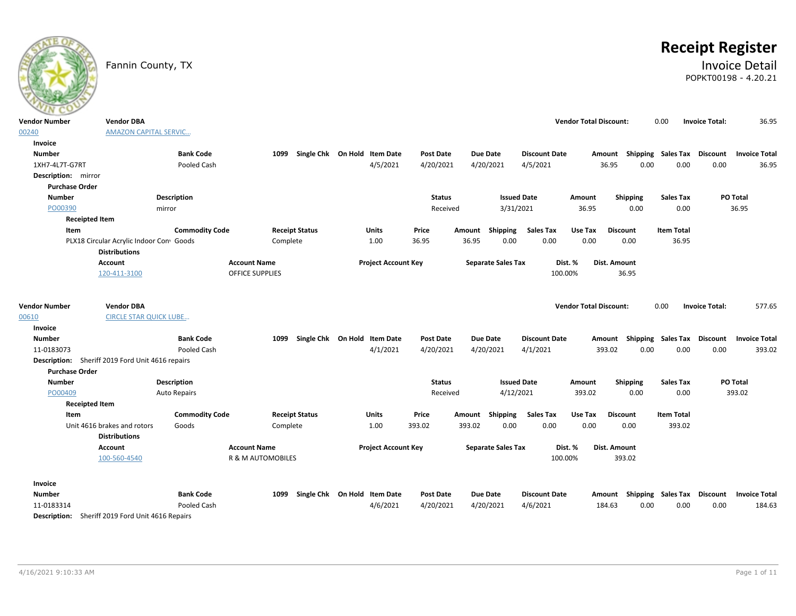

# **Receipt Register**

## Fannin County, TX **Invoice Detail** POPKT00198 - 4.20.21

| Vendor Number                                           | <b>Vendor DBA</b>                                                |                       |                        |                                   |                            |                  |        |                           |                      | <b>Vendor Total Discount:</b> |                                                  | 0.00                      | <b>Invoice Total:</b> | 36.95                |
|---------------------------------------------------------|------------------------------------------------------------------|-----------------------|------------------------|-----------------------------------|----------------------------|------------------|--------|---------------------------|----------------------|-------------------------------|--------------------------------------------------|---------------------------|-----------------------|----------------------|
| 00240                                                   | <b>AMAZON CAPITAL SERVIC</b>                                     |                       |                        |                                   |                            |                  |        |                           |                      |                               |                                                  |                           |                       |                      |
| Invoice                                                 |                                                                  |                       |                        |                                   |                            |                  |        |                           |                      |                               |                                                  |                           |                       |                      |
| Number                                                  |                                                                  | <b>Bank Code</b>      |                        | 1099 Single Chk On Hold Item Date |                            | <b>Post Date</b> |        | <b>Due Date</b>           | <b>Discount Date</b> |                               | Amount Shipping Sales Tax Discount Invoice Total |                           |                       |                      |
| 1XH7-4L7T-G7RT                                          |                                                                  | Pooled Cash           |                        |                                   | 4/5/2021                   | 4/20/2021        |        | 4/20/2021                 | 4/5/2021             |                               | 0.00<br>36.95                                    | 0.00                      | 0.00                  | 36.95                |
| Description: mirror                                     |                                                                  |                       |                        |                                   |                            |                  |        |                           |                      |                               |                                                  |                           |                       |                      |
| <b>Purchase Order</b>                                   |                                                                  |                       |                        |                                   |                            |                  |        |                           |                      |                               |                                                  |                           |                       |                      |
| <b>Number</b>                                           |                                                                  | Description           |                        |                                   |                            | <b>Status</b>    |        |                           | <b>Issued Date</b>   | Amount                        | Shipping                                         | <b>Sales Tax</b>          |                       | PO Total             |
| PO00390                                                 |                                                                  | mirror                |                        |                                   |                            | Received         |        | 3/31/2021                 |                      | 36.95                         | 0.00                                             | 0.00                      |                       | 36.95                |
| <b>Receipted Item</b>                                   |                                                                  |                       |                        |                                   |                            |                  |        |                           |                      |                               |                                                  |                           |                       |                      |
| Item                                                    |                                                                  | <b>Commodity Code</b> |                        | <b>Receipt Status</b>             | <b>Units</b>               | Price            | Amount | Shipping                  | <b>Sales Tax</b>     | Use Tax                       | <b>Discount</b>                                  | <b>Item Total</b>         |                       |                      |
|                                                         | PLX18 Circular Acrylic Indoor Conv Goods<br><b>Distributions</b> |                       | Complete               |                                   | 1.00                       | 36.95            | 36.95  | 0.00                      | 0.00                 | 0.00                          | 0.00                                             | 36.95                     |                       |                      |
|                                                         | <b>Account</b>                                                   |                       | <b>Account Name</b>    |                                   | <b>Project Account Key</b> |                  |        | <b>Separate Sales Tax</b> |                      | Dist. %                       | Dist. Amount                                     |                           |                       |                      |
|                                                         | 120-411-3100                                                     |                       | <b>OFFICE SUPPLIES</b> |                                   |                            |                  |        |                           | 100.00%              |                               | 36.95                                            |                           |                       |                      |
| <b>Vendor Number</b><br>00610<br>Invoice                | <b>Vendor DBA</b><br><b>CIRCLE STAR QUICK LUBE</b>               |                       |                        |                                   |                            |                  |        |                           |                      | <b>Vendor Total Discount:</b> |                                                  | 0.00                      | <b>Invoice Total:</b> | 577.65               |
| <b>Number</b>                                           |                                                                  | <b>Bank Code</b>      | 1099                   | Single Chk On Hold Item Date      |                            | <b>Post Date</b> |        | Due Date                  | <b>Discount Date</b> |                               | Amount Shipping Sales Tax Discount               |                           |                       | <b>Invoice Total</b> |
| 11-0183073                                              |                                                                  | Pooled Cash           |                        |                                   | 4/1/2021                   | 4/20/2021        |        | 4/20/2021                 | 4/1/2021             |                               | 393.02<br>0.00                                   | 0.00                      | 0.00                  | 393.02               |
| Description: Sheriff 2019 Ford Unit 4616 repairs        |                                                                  |                       |                        |                                   |                            |                  |        |                           |                      |                               |                                                  |                           |                       |                      |
| <b>Purchase Order</b>                                   |                                                                  |                       |                        |                                   |                            |                  |        |                           |                      |                               |                                                  |                           |                       |                      |
| <b>Number</b>                                           |                                                                  | <b>Description</b>    |                        |                                   |                            | <b>Status</b>    |        |                           | <b>Issued Date</b>   | Amount                        | Shipping                                         | <b>Sales Tax</b>          |                       | PO Total             |
| PO00409                                                 |                                                                  | <b>Auto Repairs</b>   |                        |                                   |                            | Received         |        | 4/12/2021                 |                      | 393.02                        | 0.00                                             | 0.00                      |                       | 393.02               |
| <b>Receipted Item</b>                                   |                                                                  |                       |                        |                                   |                            |                  |        |                           |                      |                               |                                                  |                           |                       |                      |
| Item                                                    |                                                                  | <b>Commodity Code</b> |                        | <b>Receipt Status</b>             | <b>Units</b>               | Price            | Amount | Shipping                  | <b>Sales Tax</b>     | Use Tax                       | Discount                                         | <b>Item Total</b>         |                       |                      |
|                                                         | Unit 4616 brakes and rotors                                      | Goods                 | Complete               |                                   | 1.00                       | 393.02           | 393.02 | 0.00                      | 0.00                 | 0.00                          | 0.00                                             | 393.02                    |                       |                      |
|                                                         | <b>Distributions</b>                                             |                       |                        |                                   |                            |                  |        |                           |                      |                               |                                                  |                           |                       |                      |
|                                                         | <b>Account</b>                                                   |                       | <b>Account Name</b>    |                                   | <b>Project Account Key</b> |                  |        | <b>Separate Sales Tax</b> |                      | Dist. %                       | Dist. Amount                                     |                           |                       |                      |
|                                                         | 100-560-4540                                                     |                       | R & M AUTOMOBILES      |                                   |                            |                  |        |                           | 100.00%              |                               | 393.02                                           |                           |                       |                      |
| Invoice                                                 |                                                                  |                       |                        |                                   |                            |                  |        |                           |                      |                               |                                                  |                           |                       |                      |
| <b>Number</b>                                           |                                                                  | <b>Bank Code</b>      | 1099                   | Single Chk On Hold Item Date      |                            | <b>Post Date</b> |        | Due Date                  | <b>Discount Date</b> |                               | Amount                                           | <b>Shipping Sales Tax</b> | Discount              | <b>Invoice Total</b> |
| 11-0183314                                              |                                                                  | Pooled Cash           |                        |                                   | 4/6/2021                   | 4/20/2021        |        | 4/20/2021                 | 4/6/2021             |                               | 184.63<br>0.00                                   | 0.00                      | 0.00                  | 184.63               |
| <b>Description:</b> Sheriff 2019 Ford Unit 4616 Repairs |                                                                  |                       |                        |                                   |                            |                  |        |                           |                      |                               |                                                  |                           |                       |                      |
|                                                         |                                                                  |                       |                        |                                   |                            |                  |        |                           |                      |                               |                                                  |                           |                       |                      |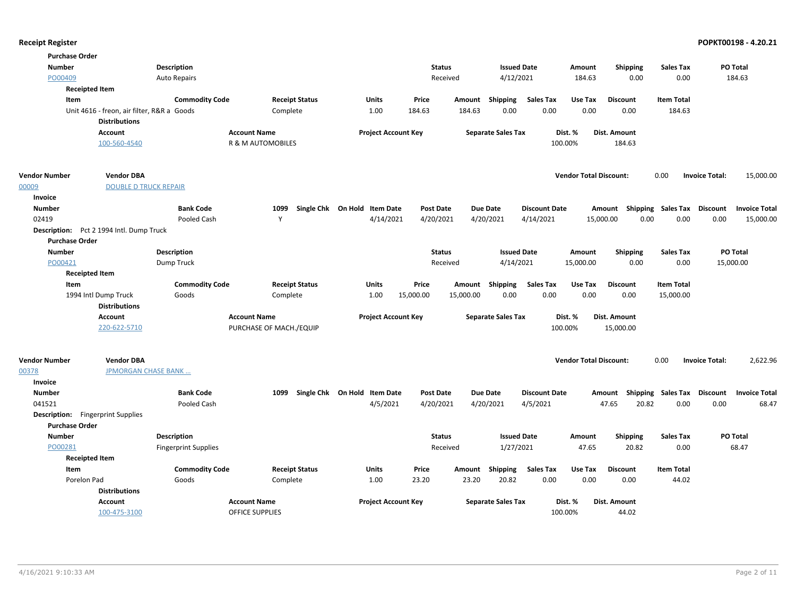|                      | <b>Purchase Order</b>                      |                             |                              |                              |                  |                           |                      |                               |                                    |                                         |
|----------------------|--------------------------------------------|-----------------------------|------------------------------|------------------------------|------------------|---------------------------|----------------------|-------------------------------|------------------------------------|-----------------------------------------|
| <b>Number</b>        |                                            | Description                 |                              |                              | <b>Status</b>    | <b>Issued Date</b>        |                      | Amount<br><b>Shipping</b>     | <b>Sales Tax</b>                   | PO Total                                |
| PO00409              |                                            | <b>Auto Repairs</b>         |                              |                              | Received         | 4/12/2021                 |                      | 184.63                        | 0.00<br>0.00                       | 184.63                                  |
|                      | <b>Receipted Item</b>                      |                             |                              |                              |                  |                           |                      |                               |                                    |                                         |
|                      | Item                                       | <b>Commodity Code</b>       | <b>Receipt Status</b>        | <b>Units</b>                 | Price            | Amount Shipping           | <b>Sales Tax</b>     | Use Tax<br><b>Discount</b>    | <b>Item Total</b>                  |                                         |
|                      | Unit 4616 - freon, air filter, R&R a Goods |                             | Complete                     | 1.00                         | 184.63           | 0.00<br>184.63            | 0.00                 | 0.00<br>0.00                  | 184.63                             |                                         |
|                      | <b>Distributions</b>                       |                             |                              |                              |                  |                           |                      |                               |                                    |                                         |
|                      | <b>Account</b>                             |                             | <b>Account Name</b>          | <b>Project Account Key</b>   |                  | <b>Separate Sales Tax</b> | Dist. %              | Dist. Amount                  |                                    |                                         |
|                      | 100-560-4540                               |                             | <b>R &amp; M AUTOMOBILES</b> |                              |                  |                           | 100.00%              | 184.63                        |                                    |                                         |
| <b>Vendor Number</b> | <b>Vendor DBA</b>                          |                             |                              |                              |                  |                           |                      | <b>Vendor Total Discount:</b> | 0.00                               | <b>Invoice Total:</b><br>15,000.00      |
| 00009                | <b>DOUBLE D TRUCK REPAIR</b>               |                             |                              |                              |                  |                           |                      |                               |                                    |                                         |
| Invoice              |                                            |                             |                              |                              |                  |                           |                      |                               |                                    |                                         |
| <b>Number</b>        |                                            | <b>Bank Code</b>            | 1099                         | Single Chk On Hold Item Date | <b>Post Date</b> | Due Date                  | <b>Discount Date</b> |                               | Amount Shipping Sales Tax Discount | <b>Invoice Total</b>                    |
| 02419                |                                            | Pooled Cash                 | Y                            | 4/14/2021                    | 4/20/2021        | 4/20/2021                 | 4/14/2021            | 15,000.00                     | 0.00<br>0.00                       | 0.00<br>15,000.00                       |
|                      | Description: Pct 2 1994 Intl. Dump Truck   |                             |                              |                              |                  |                           |                      |                               |                                    |                                         |
|                      | <b>Purchase Order</b>                      |                             |                              |                              |                  |                           |                      |                               |                                    |                                         |
| <b>Number</b>        |                                            | Description                 |                              |                              | <b>Status</b>    | <b>Issued Date</b>        |                      | Amount<br><b>Shipping</b>     | <b>Sales Tax</b>                   | PO Total                                |
| PO00421              |                                            | Dump Truck                  |                              |                              | Received         | 4/14/2021                 |                      | 15,000.00                     | 0.00<br>0.00                       | 15,000.00                               |
|                      | <b>Receipted Item</b>                      |                             |                              |                              |                  |                           |                      |                               |                                    |                                         |
|                      | Item                                       | <b>Commodity Code</b>       | <b>Receipt Status</b>        | <b>Units</b>                 | Price            | Amount Shipping           | <b>Sales Tax</b>     | Use Tax<br><b>Discount</b>    | <b>Item Total</b>                  |                                         |
|                      | 1994 Intl Dump Truck                       | Goods                       | Complete                     | 1.00                         | 15,000.00        | 0.00<br>15,000.00         | 0.00                 | 0.00<br>0.00                  | 15,000.00                          |                                         |
|                      | <b>Distributions</b>                       |                             |                              |                              |                  |                           |                      |                               |                                    |                                         |
|                      | Account                                    |                             | <b>Account Name</b>          | <b>Project Account Key</b>   |                  | <b>Separate Sales Tax</b> | Dist. %              | Dist. Amount                  |                                    |                                         |
|                      | 220-622-5710                               |                             | PURCHASE OF MACH./EQUIP      |                              |                  |                           | 100.00%              | 15,000.00                     |                                    |                                         |
| <b>Vendor Number</b> | <b>Vendor DBA</b>                          |                             |                              |                              |                  |                           |                      | <b>Vendor Total Discount:</b> | 0.00                               | <b>Invoice Total:</b><br>2,622.96       |
| 00378                | <b>JPMORGAN CHASE BANK </b>                |                             |                              |                              |                  |                           |                      |                               |                                    |                                         |
| Invoice              |                                            |                             |                              |                              |                  |                           |                      |                               |                                    |                                         |
| <b>Number</b>        |                                            | <b>Bank Code</b>            | 1099                         | Single Chk On Hold Item Date | <b>Post Date</b> | Due Date                  | <b>Discount Date</b> | Amount                        | Shipping Sales Tax                 | <b>Discount</b><br><b>Invoice Total</b> |
| 041521               |                                            | Pooled Cash                 |                              | 4/5/2021                     | 4/20/2021        | 4/20/2021                 | 4/5/2021             | 47.65                         | 20.82<br>0.00                      | 0.00<br>68.47                           |
|                      | <b>Description:</b> Fingerprint Supplies   |                             |                              |                              |                  |                           |                      |                               |                                    |                                         |
|                      | <b>Purchase Order</b>                      |                             |                              |                              |                  |                           |                      |                               |                                    |                                         |
| <b>Number</b>        |                                            | Description                 |                              |                              | <b>Status</b>    | <b>Issued Date</b>        |                      | Amount<br><b>Shipping</b>     | <b>Sales Tax</b>                   | PO Total                                |
| PO00281              |                                            | <b>Fingerprint Supplies</b> |                              |                              | Received         | 1/27/2021                 |                      | 47.65                         | 20.82<br>0.00                      | 68.47                                   |
|                      | <b>Receipted Item</b>                      |                             |                              |                              |                  |                           |                      |                               |                                    |                                         |
|                      | Item                                       | <b>Commodity Code</b>       | <b>Receipt Status</b>        | Units                        | Price            | Shipping<br>Amount        | Sales Tax            | Use Tax<br><b>Discount</b>    | <b>Item Total</b>                  |                                         |
|                      | Porelon Pad                                | Goods                       | Complete                     | 1.00                         | 23.20            | 23.20<br>20.82            | 0.00                 | 0.00<br>0.00                  | 44.02                              |                                         |
|                      | <b>Distributions</b>                       |                             |                              |                              |                  |                           |                      |                               |                                    |                                         |
|                      | <b>Account</b>                             |                             | <b>Account Name</b>          | <b>Project Account Key</b>   |                  | <b>Separate Sales Tax</b> | Dist. %              | Dist. Amount                  |                                    |                                         |
|                      | 100-475-3100                               |                             | <b>OFFICE SUPPLIES</b>       |                              |                  |                           | 100.00%              | 44.02                         |                                    |                                         |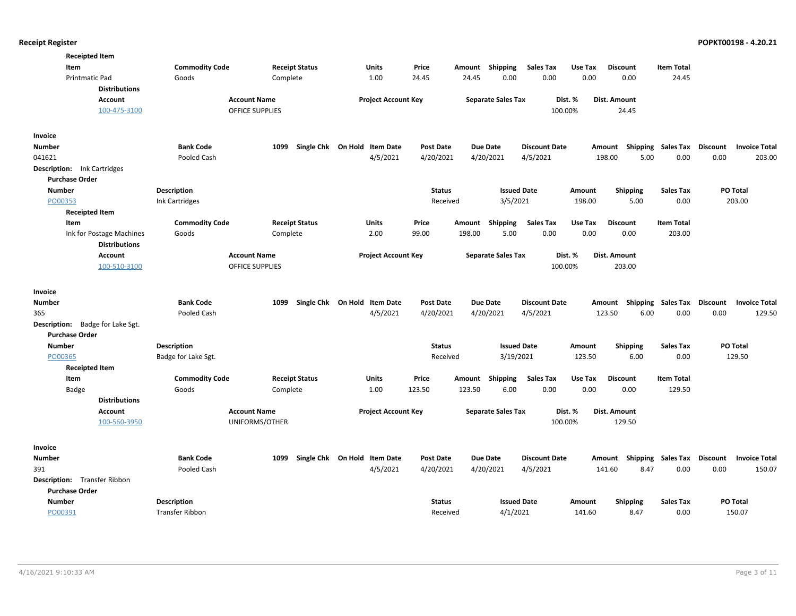| <b>Receipted Item</b>                      |                        |                        |                              |                  |        |                           |                      |         |                                    |                   |                                         |
|--------------------------------------------|------------------------|------------------------|------------------------------|------------------|--------|---------------------------|----------------------|---------|------------------------------------|-------------------|-----------------------------------------|
| Item                                       | <b>Commodity Code</b>  | <b>Receipt Status</b>  | Units                        | Price            | Amount | <b>Shipping</b>           | <b>Sales Tax</b>     | Use Tax | <b>Discount</b>                    | <b>Item Total</b> |                                         |
| <b>Printmatic Pad</b>                      | Goods                  | Complete               | 1.00                         | 24.45            | 24.45  | 0.00                      | 0.00                 | 0.00    | 0.00                               | 24.45             |                                         |
| <b>Distributions</b>                       |                        |                        |                              |                  |        |                           |                      |         |                                    |                   |                                         |
| <b>Account</b>                             |                        | <b>Account Name</b>    | <b>Project Account Key</b>   |                  |        | <b>Separate Sales Tax</b> |                      | Dist. % | Dist. Amount                       |                   |                                         |
| 100-475-3100                               |                        | <b>OFFICE SUPPLIES</b> |                              |                  |        |                           |                      | 100.00% | 24.45                              |                   |                                         |
|                                            |                        |                        |                              |                  |        |                           |                      |         |                                    |                   |                                         |
| Invoice<br><b>Number</b>                   | <b>Bank Code</b>       | 1099                   | Single Chk On Hold Item Date | <b>Post Date</b> |        | <b>Due Date</b>           | <b>Discount Date</b> |         | Amount Shipping Sales Tax Discount |                   | <b>Invoice Total</b>                    |
| 041621                                     | Pooled Cash            |                        | 4/5/2021                     | 4/20/2021        |        | 4/20/2021                 | 4/5/2021             |         | 5.00<br>198.00                     | 0.00              | 0.00<br>203.00                          |
| Ink Cartridges<br><b>Description:</b>      |                        |                        |                              |                  |        |                           |                      |         |                                    |                   |                                         |
| <b>Purchase Order</b>                      |                        |                        |                              |                  |        |                           |                      |         |                                    |                   |                                         |
| <b>Number</b>                              | <b>Description</b>     |                        |                              | <b>Status</b>    |        | <b>Issued Date</b>        |                      | Amount  | <b>Shipping</b>                    | <b>Sales Tax</b>  | PO Total                                |
| PO00353                                    | <b>Ink Cartridges</b>  |                        |                              | Received         |        | 3/5/2021                  |                      | 198.00  | 5.00                               | 0.00              | 203.00                                  |
| <b>Receipted Item</b>                      |                        |                        |                              |                  |        |                           |                      |         |                                    |                   |                                         |
| Item                                       | <b>Commodity Code</b>  | <b>Receipt Status</b>  | <b>Units</b>                 | Price            | Amount | Shipping                  | <b>Sales Tax</b>     | Use Tax | <b>Discount</b>                    | <b>Item Total</b> |                                         |
| Ink for Postage Machines                   | Goods                  | Complete               | 2.00                         | 99.00            | 198.00 | 5.00                      | 0.00                 | 0.00    | 0.00                               | 203.00            |                                         |
| <b>Distributions</b>                       |                        |                        |                              |                  |        |                           |                      |         |                                    |                   |                                         |
| Account                                    |                        | <b>Account Name</b>    | <b>Project Account Key</b>   |                  |        | <b>Separate Sales Tax</b> |                      | Dist. % | Dist. Amount                       |                   |                                         |
| 100-510-3100                               |                        | <b>OFFICE SUPPLIES</b> |                              |                  |        |                           |                      | 100.00% | 203.00                             |                   |                                         |
|                                            |                        |                        |                              |                  |        |                           |                      |         |                                    |                   |                                         |
| Invoice                                    |                        |                        |                              |                  |        |                           |                      |         |                                    |                   |                                         |
| Number                                     | <b>Bank Code</b>       | 1099                   | Single Chk On Hold Item Date | <b>Post Date</b> |        | <b>Due Date</b>           | <b>Discount Date</b> |         | Shipping<br>Amount                 | <b>Sales Tax</b>  | <b>Discount</b><br><b>Invoice Total</b> |
| 365                                        | Pooled Cash            |                        | 4/5/2021                     | 4/20/2021        |        | 4/20/2021                 | 4/5/2021             |         | 123.50<br>6.00                     | 0.00              | 0.00<br>129.50                          |
| <b>Description:</b><br>Badge for Lake Sgt. |                        |                        |                              |                  |        |                           |                      |         |                                    |                   |                                         |
| <b>Purchase Order</b>                      |                        |                        |                              |                  |        |                           |                      |         |                                    |                   |                                         |
| <b>Number</b>                              | <b>Description</b>     |                        |                              | <b>Status</b>    |        | <b>Issued Date</b>        |                      | Amount  | <b>Shipping</b>                    | <b>Sales Tax</b>  | <b>PO Total</b>                         |
| PO00365                                    | Badge for Lake Sgt.    |                        |                              | Received         |        | 3/19/2021                 |                      | 123.50  | 6.00                               | 0.00              | 129.50                                  |
| <b>Receipted Item</b>                      |                        |                        |                              |                  |        |                           |                      |         |                                    |                   |                                         |
| Item                                       | <b>Commodity Code</b>  | <b>Receipt Status</b>  | Units                        | Price            | Amount | <b>Shipping</b>           | <b>Sales Tax</b>     | Use Tax | <b>Discount</b>                    | <b>Item Total</b> |                                         |
| Badge                                      | Goods                  | Complete               | 1.00                         | 123.50           | 123.50 | 6.00                      | 0.00                 | 0.00    | 0.00                               | 129.50            |                                         |
| <b>Distributions</b>                       |                        |                        |                              |                  |        |                           |                      |         |                                    |                   |                                         |
| <b>Account</b>                             |                        | <b>Account Name</b>    | <b>Project Account Key</b>   |                  |        | <b>Separate Sales Tax</b> |                      | Dist. % | Dist. Amount                       |                   |                                         |
| 100-560-3950                               |                        | UNIFORMS/OTHER         |                              |                  |        |                           |                      | 100.00% | 129.50                             |                   |                                         |
|                                            |                        |                        |                              |                  |        |                           |                      |         |                                    |                   |                                         |
| Invoice                                    |                        |                        |                              |                  |        |                           |                      |         |                                    |                   |                                         |
| Number                                     | <b>Bank Code</b>       | 1099                   | Single Chk On Hold Item Date | <b>Post Date</b> |        | <b>Due Date</b>           | <b>Discount Date</b> |         | Amount Shipping Sales Tax          |                   | Discount<br><b>Invoice Total</b>        |
| 391                                        | Pooled Cash            |                        | 4/5/2021                     | 4/20/2021        |        | 4/20/2021                 | 4/5/2021             |         | 141.60<br>8.47                     | 0.00              | 0.00<br>150.07                          |
| Description: Transfer Ribbon               |                        |                        |                              |                  |        |                           |                      |         |                                    |                   |                                         |
| <b>Purchase Order</b>                      |                        |                        |                              |                  |        |                           |                      |         |                                    |                   |                                         |
| <b>Number</b>                              | <b>Description</b>     |                        |                              | <b>Status</b>    |        | <b>Issued Date</b>        |                      | Amount  | <b>Shipping</b>                    | <b>Sales Tax</b>  | PO Total                                |
| PO00391                                    | <b>Transfer Ribbon</b> |                        |                              | Received         |        | 4/1/2021                  |                      | 141.60  | 8.47                               | 0.00              | 150.07                                  |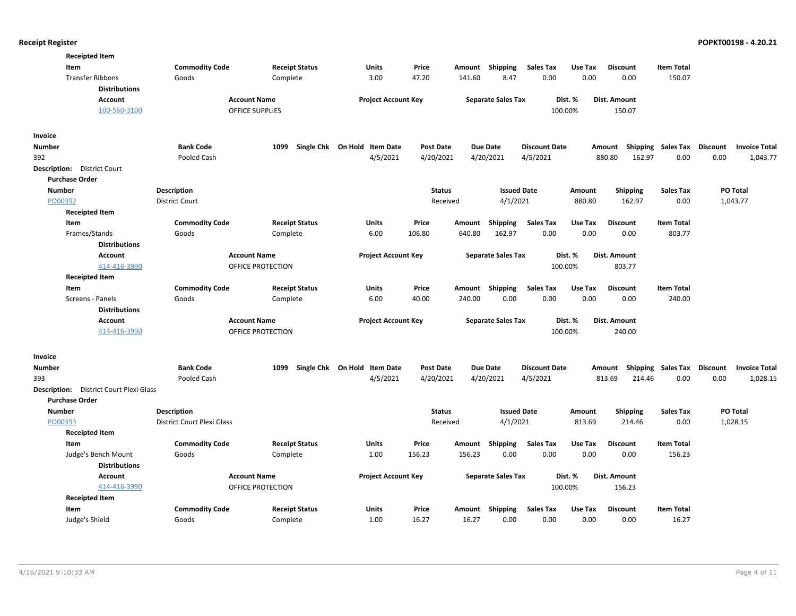| <b>Receipted Item</b>                          |                            |                        |                              |                  |        |                           |                      |         |                  |                    |                 |                      |
|------------------------------------------------|----------------------------|------------------------|------------------------------|------------------|--------|---------------------------|----------------------|---------|------------------|--------------------|-----------------|----------------------|
| Item                                           | <b>Commodity Code</b>      | <b>Receipt Status</b>  | Units                        | Price            | Amount | <b>Shipping</b>           | <b>Sales Tax</b>     | Use Tax | <b>Discount</b>  | <b>Item Total</b>  |                 |                      |
| <b>Transfer Ribbons</b>                        | Goods                      | Complete               | 3.00                         | 47.20            | 141.60 | 8.47                      | 0.00                 | 0.00    | 0.00             | 150.07             |                 |                      |
| <b>Distributions</b>                           |                            |                        |                              |                  |        |                           |                      |         |                  |                    |                 |                      |
| <b>Account</b>                                 | <b>Account Name</b>        |                        | <b>Project Account Key</b>   |                  |        | <b>Separate Sales Tax</b> |                      | Dist. % | Dist. Amount     |                    |                 |                      |
| 100-560-3100                                   |                            | <b>OFFICE SUPPLIES</b> |                              |                  |        |                           |                      | 100.00% | 150.07           |                    |                 |                      |
| Invoice                                        |                            |                        |                              |                  |        |                           |                      |         |                  |                    |                 |                      |
| Number                                         | <b>Bank Code</b>           | 1099                   | Single Chk On Hold Item Date | <b>Post Date</b> |        | <b>Due Date</b>           | <b>Discount Date</b> |         | Amount           | Shipping Sales Tax | <b>Discount</b> | <b>Invoice Total</b> |
| 392                                            | Pooled Cash                |                        | 4/5/2021                     | 4/20/2021        |        | 4/20/2021                 | 4/5/2021             |         | 880.80<br>162.97 | 0.00               | 0.00            | 1,043.77             |
| <b>Description:</b> District Court             |                            |                        |                              |                  |        |                           |                      |         |                  |                    |                 |                      |
| <b>Purchase Order</b>                          |                            |                        |                              |                  |        |                           |                      |         |                  |                    |                 |                      |
| Number                                         | <b>Description</b>         |                        |                              | <b>Status</b>    |        | <b>Issued Date</b>        |                      | Amount  | <b>Shipping</b>  | <b>Sales Tax</b>   | PO Total        |                      |
| PO00392                                        | <b>District Court</b>      |                        |                              | Received         |        | 4/1/2021                  |                      | 880.80  | 162.97           | 0.00               | 1,043.77        |                      |
| <b>Receipted Item</b>                          |                            |                        |                              |                  |        |                           |                      |         |                  |                    |                 |                      |
| Item                                           | <b>Commodity Code</b>      | <b>Receipt Status</b>  | Units                        | Price            | Amount | <b>Shipping</b>           | <b>Sales Tax</b>     | Use Tax | <b>Discount</b>  | <b>Item Total</b>  |                 |                      |
| Frames/Stands                                  | Goods                      | Complete               | 6.00                         | 106.80           | 640.80 | 162.97                    | 0.00                 | 0.00    | 0.00             | 803.77             |                 |                      |
| <b>Distributions</b>                           |                            |                        |                              |                  |        |                           |                      |         |                  |                    |                 |                      |
| <b>Account</b>                                 | <b>Account Name</b>        |                        | <b>Project Account Key</b>   |                  |        | <b>Separate Sales Tax</b> |                      | Dist. % | Dist. Amount     |                    |                 |                      |
| 414-416-3990                                   |                            | OFFICE PROTECTION      |                              |                  |        |                           |                      | 100.00% | 803.77           |                    |                 |                      |
| <b>Receipted Item</b>                          |                            |                        |                              |                  |        |                           |                      |         |                  |                    |                 |                      |
| Item                                           | <b>Commodity Code</b>      | <b>Receipt Status</b>  | Units                        | Price            |        | Amount Shipping           | <b>Sales Tax</b>     | Use Tax | <b>Discount</b>  | <b>Item Total</b>  |                 |                      |
| Screens - Panels                               | Goods                      | Complete               | 6.00                         | 40.00            | 240.00 | 0.00                      | 0.00                 | 0.00    | 0.00             | 240.00             |                 |                      |
| <b>Distributions</b>                           |                            |                        |                              |                  |        |                           |                      |         |                  |                    |                 |                      |
| Account                                        | <b>Account Name</b>        |                        | <b>Project Account Key</b>   |                  |        | <b>Separate Sales Tax</b> |                      | Dist. % | Dist. Amount     |                    |                 |                      |
| 414-416-3990                                   |                            | OFFICE PROTECTION      |                              |                  |        |                           |                      | 100.00% | 240.00           |                    |                 |                      |
| Invoice                                        |                            |                        |                              |                  |        |                           |                      |         |                  |                    |                 |                      |
| <b>Number</b>                                  | <b>Bank Code</b>           | 1099                   | Single Chk On Hold Item Date | <b>Post Date</b> |        | <b>Due Date</b>           | <b>Discount Date</b> |         | Amount           | Shipping Sales Tax | <b>Discount</b> | <b>Invoice Total</b> |
| 393                                            | Pooled Cash                |                        | 4/5/2021                     | 4/20/2021        |        | 4/20/2021                 | 4/5/2021             |         | 813.69<br>214.46 | 0.00               | 0.00            | 1,028.15             |
| <b>Description:</b> District Court Plexi Glass |                            |                        |                              |                  |        |                           |                      |         |                  |                    |                 |                      |
| <b>Purchase Order</b>                          |                            |                        |                              |                  |        |                           |                      |         |                  |                    |                 |                      |
| <b>Number</b>                                  | <b>Description</b>         |                        |                              | <b>Status</b>    |        | <b>Issued Date</b>        |                      | Amount  | <b>Shipping</b>  | <b>Sales Tax</b>   | PO Total        |                      |
| PO00393                                        | District Court Plexi Glass |                        |                              | Received         |        | 4/1/2021                  |                      | 813.69  | 214.46           | 0.00               | 1,028.15        |                      |
| <b>Receipted Item</b>                          |                            |                        |                              |                  |        |                           |                      |         |                  |                    |                 |                      |
| Item                                           | <b>Commodity Code</b>      | <b>Receipt Status</b>  | Units                        | Price            | Amount | Shipping                  | <b>Sales Tax</b>     | Use Tax | <b>Discount</b>  | <b>Item Total</b>  |                 |                      |
| Judge's Bench Mount                            | Goods                      | Complete               | 1.00                         | 156.23           | 156.23 | 0.00                      | 0.00                 | 0.00    | 0.00             | 156.23             |                 |                      |
| <b>Distributions</b>                           |                            |                        |                              |                  |        |                           |                      |         |                  |                    |                 |                      |
| <b>Account</b>                                 | <b>Account Name</b>        |                        | <b>Project Account Key</b>   |                  |        | <b>Separate Sales Tax</b> |                      | Dist. % | Dist. Amount     |                    |                 |                      |
| 414-416-3990                                   |                            | OFFICE PROTECTION      |                              |                  |        |                           |                      | 100.00% | 156.23           |                    |                 |                      |
| <b>Receipted Item</b>                          |                            |                        |                              |                  |        |                           |                      |         |                  |                    |                 |                      |
| Item                                           | <b>Commodity Code</b>      | <b>Receipt Status</b>  | Units                        | Price            |        | Amount Shipping           | <b>Sales Tax</b>     | Use Tax | <b>Discount</b>  | <b>Item Total</b>  |                 |                      |
| Judge's Shield                                 | Goods                      | Complete               | 1.00                         | 16.27            | 16.27  | 0.00                      | 0.00                 | 0.00    | 0.00             | 16.27              |                 |                      |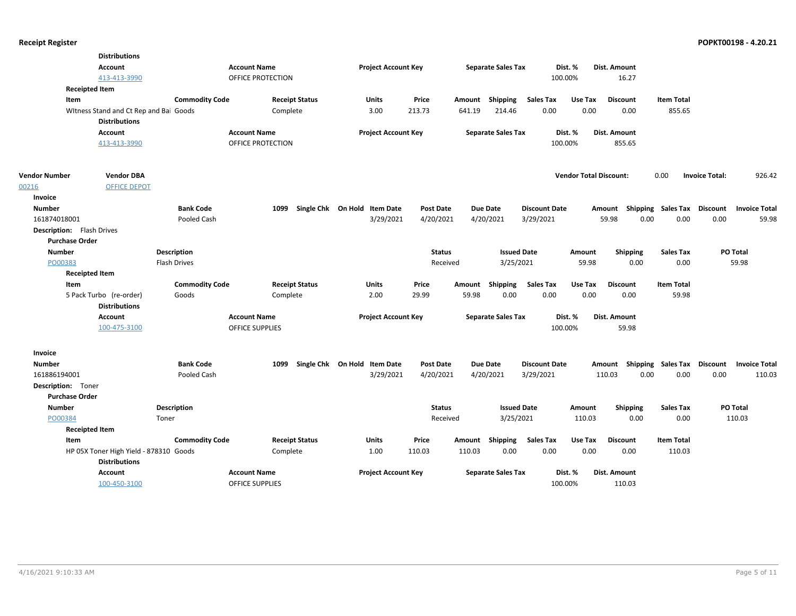|                           | <b>Distributions</b>                                           |                       |                        |                              |                  |                           |                      |                               |                     |                             |                                                     |
|---------------------------|----------------------------------------------------------------|-----------------------|------------------------|------------------------------|------------------|---------------------------|----------------------|-------------------------------|---------------------|-----------------------------|-----------------------------------------------------|
|                           | <b>Account</b>                                                 |                       | <b>Account Name</b>    | <b>Project Account Key</b>   |                  | <b>Separate Sales Tax</b> |                      | Dist. %                       | Dist. Amount        |                             |                                                     |
|                           | 413-413-3990                                                   |                       | OFFICE PROTECTION      |                              |                  |                           | 100.00%              |                               | 16.27               |                             |                                                     |
|                           | <b>Receipted Item</b>                                          |                       |                        |                              |                  |                           |                      |                               |                     |                             |                                                     |
| Item                      |                                                                | <b>Commodity Code</b> | <b>Receipt Status</b>  | <b>Units</b>                 | Price            | <b>Shipping</b><br>Amount | <b>Sales Tax</b>     | Use Tax                       | <b>Discount</b>     | <b>Item Total</b>           |                                                     |
|                           | Witness Stand and Ct Rep and Bai Goods                         |                       | Complete               | 3.00                         | 213.73           | 641.19                    | 214.46<br>0.00       | 0.00                          | 0.00                | 855.65                      |                                                     |
|                           | <b>Distributions</b>                                           |                       |                        |                              |                  |                           |                      |                               |                     |                             |                                                     |
|                           | <b>Account</b>                                                 |                       | <b>Account Name</b>    | <b>Project Account Key</b>   |                  | <b>Separate Sales Tax</b> |                      | Dist. %                       | <b>Dist. Amount</b> |                             |                                                     |
|                           | 413-413-3990                                                   |                       | OFFICE PROTECTION      |                              |                  |                           |                      | 100.00%                       | 855.65              |                             |                                                     |
| <b>Vendor Number</b>      | <b>Vendor DBA</b>                                              |                       |                        |                              |                  |                           |                      | <b>Vendor Total Discount:</b> |                     | 0.00                        | <b>Invoice Total:</b><br>926.42                     |
| 00216                     | <b>OFFICE DEPOT</b>                                            |                       |                        |                              |                  |                           |                      |                               |                     |                             |                                                     |
| Invoice                   |                                                                |                       |                        |                              |                  |                           |                      |                               |                     |                             |                                                     |
| <b>Number</b>             |                                                                | <b>Bank Code</b>      | 1099                   | Single Chk On Hold Item Date | <b>Post Date</b> | Due Date                  | <b>Discount Date</b> | Amount                        |                     |                             | Shipping Sales Tax Discount<br><b>Invoice Total</b> |
| 161874018001              |                                                                | Pooled Cash           |                        | 3/29/2021                    | 4/20/2021        | 4/20/2021                 | 3/29/2021            |                               | 59.98<br>0.00       | 0.00                        | 0.00<br>59.98                                       |
| Description: Flash Drives |                                                                |                       |                        |                              |                  |                           |                      |                               |                     |                             |                                                     |
| <b>Purchase Order</b>     |                                                                |                       |                        |                              |                  |                           |                      |                               |                     |                             |                                                     |
| <b>Number</b>             |                                                                | <b>Description</b>    |                        |                              | <b>Status</b>    |                           | <b>Issued Date</b>   | Amount                        | Shipping            | <b>Sales Tax</b>            | PO Total                                            |
| PO00383                   |                                                                | <b>Flash Drives</b>   |                        |                              | Received         |                           | 3/25/2021            | 59.98                         | 0.00                | 0.00                        | 59.98                                               |
|                           | <b>Receipted Item</b>                                          |                       |                        |                              |                  |                           |                      |                               |                     |                             |                                                     |
| Item                      |                                                                | <b>Commodity Code</b> | <b>Receipt Status</b>  | Units                        | Price            | Shipping<br>Amount        | Sales Tax            | Use Tax                       | <b>Discount</b>     | <b>Item Total</b>           |                                                     |
|                           | 5 Pack Turbo (re-order)<br><b>Distributions</b>                | Goods                 | Complete               | 2.00                         | 29.99            | 59.98                     | 0.00<br>0.00         | 0.00                          | 0.00                | 59.98                       |                                                     |
|                           | <b>Account</b>                                                 |                       | <b>Account Name</b>    | <b>Project Account Key</b>   |                  | <b>Separate Sales Tax</b> |                      | Dist. %                       | <b>Dist. Amount</b> |                             |                                                     |
|                           | 100-475-3100                                                   |                       | <b>OFFICE SUPPLIES</b> |                              |                  |                           | 100.00%              |                               | 59.98               |                             |                                                     |
| Invoice                   |                                                                |                       |                        |                              |                  |                           |                      |                               |                     |                             |                                                     |
| <b>Number</b>             |                                                                | <b>Bank Code</b>      | 1099                   | Single Chk On Hold Item Date | <b>Post Date</b> | <b>Due Date</b>           | <b>Discount Date</b> | Amount                        |                     | Shipping Sales Tax Discount | <b>Invoice Total</b>                                |
| 161886194001              |                                                                | Pooled Cash           |                        | 3/29/2021                    | 4/20/2021        | 4/20/2021                 | 3/29/2021            | 110.03                        | 0.00                | 0.00                        | 0.00<br>110.03                                      |
| Description: Toner        |                                                                |                       |                        |                              |                  |                           |                      |                               |                     |                             |                                                     |
| <b>Purchase Order</b>     |                                                                |                       |                        |                              |                  |                           |                      |                               |                     |                             |                                                     |
| <b>Number</b>             |                                                                | <b>Description</b>    |                        |                              | <b>Status</b>    |                           | <b>Issued Date</b>   | Amount                        | Shipping            | <b>Sales Tax</b>            | PO Total                                            |
| PO00384                   |                                                                | Toner                 |                        |                              | Received         |                           | 3/25/2021            | 110.03                        | 0.00                | 0.00                        | 110.03                                              |
|                           | <b>Receipted Item</b>                                          |                       |                        |                              |                  |                           |                      |                               |                     |                             |                                                     |
| Item                      |                                                                | <b>Commodity Code</b> | <b>Receipt Status</b>  | Units                        | Price            | Shipping<br>Amount        | <b>Sales Tax</b>     | Use Tax                       | <b>Discount</b>     | <b>Item Total</b>           |                                                     |
|                           | HP 05X Toner High Yield - 878310 Goods<br><b>Distributions</b> |                       | Complete               | 1.00                         | 110.03           | 110.03                    | 0.00<br>0.00         | 0.00                          | 0.00                | 110.03                      |                                                     |
|                           | <b>Account</b>                                                 |                       | <b>Account Name</b>    | <b>Project Account Key</b>   |                  | <b>Separate Sales Tax</b> |                      | Dist. %                       | Dist. Amount        |                             |                                                     |
|                           | 100-450-3100                                                   |                       | <b>OFFICE SUPPLIES</b> |                              |                  |                           |                      | 100.00%                       | 110.03              |                             |                                                     |
|                           |                                                                |                       |                        |                              |                  |                           |                      |                               |                     |                             |                                                     |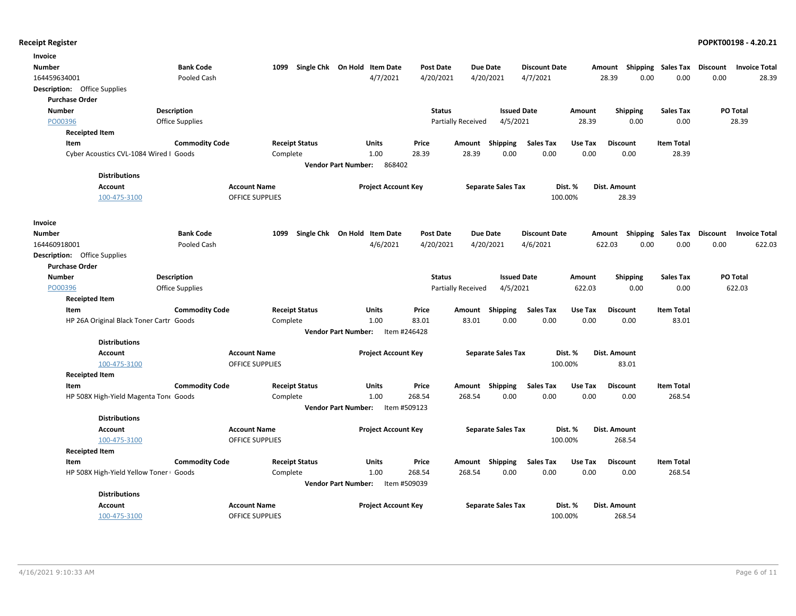| Invoice                             |                                         |                        |                        |                              |                            |                  |                    |                           |                      |         |                 |                             |          |                      |
|-------------------------------------|-----------------------------------------|------------------------|------------------------|------------------------------|----------------------------|------------------|--------------------|---------------------------|----------------------|---------|-----------------|-----------------------------|----------|----------------------|
| Number                              |                                         | <b>Bank Code</b>       | 1099                   | Single Chk On Hold Item Date |                            | <b>Post Date</b> | <b>Due Date</b>    |                           | <b>Discount Date</b> | Amount  |                 | Shipping Sales Tax          | Discount | <b>Invoice Total</b> |
| 164459634001                        |                                         | Pooled Cash            |                        |                              | 4/7/2021                   | 4/20/2021        | 4/20/2021          |                           | 4/7/2021             |         | 0.00<br>28.39   | 0.00                        | 0.00     | 28.39                |
| <b>Description:</b> Office Supplies |                                         |                        |                        |                              |                            |                  |                    |                           |                      |         |                 |                             |          |                      |
| <b>Purchase Order</b>               |                                         |                        |                        |                              |                            |                  |                    |                           |                      |         |                 |                             |          |                      |
| <b>Number</b>                       |                                         | Description            |                        |                              |                            | <b>Status</b>    |                    | <b>Issued Date</b>        |                      | Amount  | <b>Shipping</b> | <b>Sales Tax</b>            |          | PO Total             |
| PO00396                             |                                         | Office Supplies        |                        |                              |                            |                  | Partially Received | 4/5/2021                  |                      | 28.39   | 0.00            | 0.00                        |          | 28.39                |
| <b>Receipted Item</b>               |                                         |                        |                        |                              |                            |                  |                    |                           |                      |         |                 |                             |          |                      |
| Item                                |                                         | <b>Commodity Code</b>  | <b>Receipt Status</b>  |                              | <b>Units</b>               | Price            | Amount             | Shipping                  | <b>Sales Tax</b>     | Use Tax | <b>Discount</b> | <b>Item Total</b>           |          |                      |
|                                     | Cyber Acoustics CVL-1084 Wired I Goods  |                        | Complete               |                              | 1.00                       | 28.39            | 28.39              | 0.00                      | 0.00                 | 0.00    | 0.00            | 28.39                       |          |                      |
|                                     |                                         |                        |                        | <b>Vendor Part Number:</b>   | 868402                     |                  |                    |                           |                      |         |                 |                             |          |                      |
|                                     | <b>Distributions</b>                    |                        |                        |                              |                            |                  |                    |                           |                      |         |                 |                             |          |                      |
|                                     | <b>Account</b>                          |                        | <b>Account Name</b>    |                              | <b>Project Account Key</b> |                  |                    | <b>Separate Sales Tax</b> | Dist. %              |         | Dist. Amount    |                             |          |                      |
|                                     | 100-475-3100                            |                        | <b>OFFICE SUPPLIES</b> |                              |                            |                  |                    |                           | 100.00%              |         | 28.39           |                             |          |                      |
|                                     |                                         |                        |                        |                              |                            |                  |                    |                           |                      |         |                 |                             |          |                      |
| Invoice                             |                                         |                        |                        |                              |                            |                  |                    |                           |                      |         |                 |                             |          |                      |
| <b>Number</b>                       |                                         | <b>Bank Code</b>       | 1099                   | Single Chk On Hold Item Date |                            | <b>Post Date</b> | <b>Due Date</b>    |                           | <b>Discount Date</b> | Amount  |                 | Shipping Sales Tax Discount |          | <b>Invoice Total</b> |
| 164460918001                        |                                         | Pooled Cash            |                        |                              | 4/6/2021                   | 4/20/2021        | 4/20/2021          |                           | 4/6/2021             | 622.03  | 0.00            | 0.00                        | 0.00     | 622.03               |
| <b>Description:</b> Office Supplies |                                         |                        |                        |                              |                            |                  |                    |                           |                      |         |                 |                             |          |                      |
| <b>Purchase Order</b>               |                                         |                        |                        |                              |                            |                  |                    |                           |                      |         |                 |                             |          |                      |
| <b>Number</b>                       |                                         | <b>Description</b>     |                        |                              |                            | <b>Status</b>    |                    | <b>Issued Date</b>        |                      | Amount  | <b>Shipping</b> | <b>Sales Tax</b>            |          | <b>PO Total</b>      |
| PO00396                             |                                         | <b>Office Supplies</b> |                        |                              |                            |                  | Partially Received | 4/5/2021                  |                      | 622.03  | 0.00            | 0.00                        |          | 622.03               |
| <b>Receipted Item</b>               |                                         |                        |                        |                              |                            |                  |                    |                           |                      |         |                 |                             |          |                      |
| Item                                |                                         | <b>Commodity Code</b>  | <b>Receipt Status</b>  |                              | Units                      | Price            | Amount             | Shipping                  | <b>Sales Tax</b>     | Use Tax | <b>Discount</b> | <b>Item Total</b>           |          |                      |
|                                     | HP 26A Original Black Toner Cartr Goods |                        | Complete               |                              | 1.00                       | 83.01            | 83.01              | 0.00                      | 0.00                 | 0.00    | 0.00            | 83.01                       |          |                      |
|                                     |                                         |                        |                        | <b>Vendor Part Number:</b>   | Item #246428               |                  |                    |                           |                      |         |                 |                             |          |                      |
|                                     | <b>Distributions</b>                    |                        |                        |                              |                            |                  |                    |                           |                      |         |                 |                             |          |                      |
|                                     | <b>Account</b>                          |                        | <b>Account Name</b>    |                              | <b>Project Account Key</b> |                  |                    | <b>Separate Sales Tax</b> | Dist. %              |         | Dist. Amount    |                             |          |                      |
|                                     | 100-475-3100                            |                        | <b>OFFICE SUPPLIES</b> |                              |                            |                  |                    |                           | 100.00%              |         | 83.01           |                             |          |                      |
| <b>Receipted Item</b>               |                                         |                        |                        |                              |                            |                  |                    |                           |                      |         |                 |                             |          |                      |
| Item                                |                                         | <b>Commodity Code</b>  | <b>Receipt Status</b>  |                              | Units                      | Price            | Amount             | Shipping                  | <b>Sales Tax</b>     | Use Tax | <b>Discount</b> | <b>Item Total</b>           |          |                      |
|                                     | HP 508X High-Yield Magenta Tone Goods   |                        | Complete               |                              | 1.00                       | 268.54           | 268.54             | 0.00                      | 0.00                 | 0.00    | 0.00            | 268.54                      |          |                      |
|                                     |                                         |                        |                        | <b>Vendor Part Number:</b>   | Item #509123               |                  |                    |                           |                      |         |                 |                             |          |                      |
|                                     | <b>Distributions</b>                    |                        |                        |                              |                            |                  |                    |                           |                      |         |                 |                             |          |                      |
|                                     | <b>Account</b>                          |                        | <b>Account Name</b>    |                              | <b>Project Account Key</b> |                  |                    | <b>Separate Sales Tax</b> | Dist. %              |         | Dist. Amount    |                             |          |                      |
|                                     | 100-475-3100                            |                        | <b>OFFICE SUPPLIES</b> |                              |                            |                  |                    |                           | 100.00%              |         | 268.54          |                             |          |                      |
| <b>Receipted Item</b>               |                                         |                        |                        |                              |                            |                  |                    |                           |                      |         |                 |                             |          |                      |
| Item                                |                                         | <b>Commodity Code</b>  | <b>Receipt Status</b>  |                              | <b>Units</b>               | Price            | Amount Shipping    |                           | <b>Sales Tax</b>     | Use Tax | <b>Discount</b> | <b>Item Total</b>           |          |                      |
|                                     | HP 508X High-Yield Yellow Toner Goods   |                        | Complete               |                              | 1.00                       | 268.54           | 268.54             | 0.00                      | 0.00                 | 0.00    | 0.00            | 268.54                      |          |                      |
|                                     |                                         |                        |                        | <b>Vendor Part Number:</b>   | Item #509039               |                  |                    |                           |                      |         |                 |                             |          |                      |
|                                     |                                         |                        |                        |                              |                            |                  |                    |                           |                      |         |                 |                             |          |                      |
|                                     | <b>Distributions</b>                    |                        |                        |                              |                            |                  |                    |                           |                      |         |                 |                             |          |                      |
|                                     | <b>Account</b>                          |                        | <b>Account Name</b>    |                              | <b>Project Account Key</b> |                  |                    | <b>Separate Sales Tax</b> | Dist. %              |         | Dist. Amount    |                             |          |                      |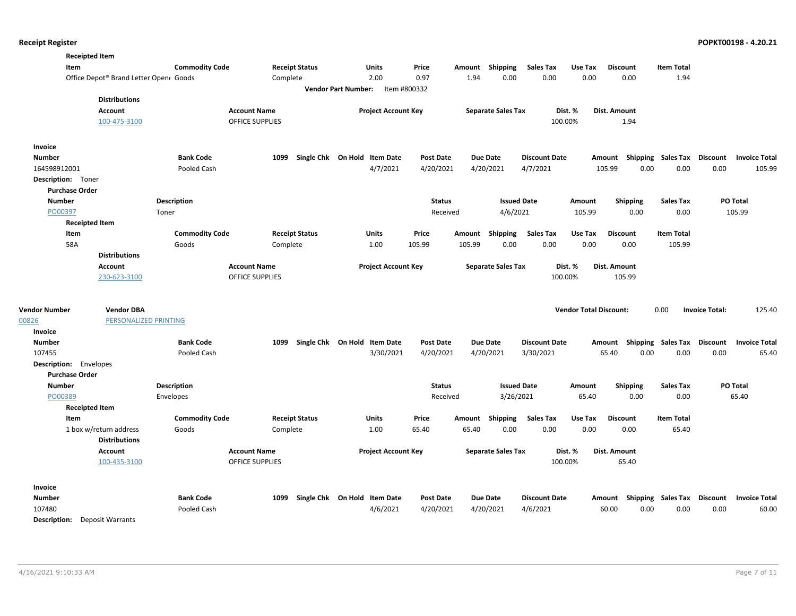| <b>Receipted Item</b>         |                                            |                                 |                                               |                       |                                          |                               |                              |                                  |                               |                       |                           |                                                                   |
|-------------------------------|--------------------------------------------|---------------------------------|-----------------------------------------------|-----------------------|------------------------------------------|-------------------------------|------------------------------|----------------------------------|-------------------------------|-----------------------|---------------------------|-------------------------------------------------------------------|
| Item                          |                                            | <b>Commodity Code</b>           |                                               | <b>Receipt Status</b> | Units                                    | Price                         | Amount                       | <b>Shipping</b><br>Sales Tax     | Use Tax                       | <b>Discount</b>       | <b>Item Total</b>         |                                                                   |
|                               | Office Depot® Brand Letter Open( Goods     |                                 |                                               | Complete              | 2.00                                     | 0.97                          | 1.94                         | 0.00<br>0.00                     | 0.00                          | 0.00                  | 1.94                      |                                                                   |
|                               |                                            |                                 |                                               |                       | Vendor Part Number: Item #800332         |                               |                              |                                  |                               |                       |                           |                                                                   |
|                               | <b>Distributions</b>                       |                                 |                                               |                       |                                          |                               |                              |                                  |                               |                       |                           |                                                                   |
|                               | Account                                    |                                 | <b>Account Name</b>                           |                       | <b>Project Account Key</b>               |                               | <b>Separate Sales Tax</b>    |                                  | Dist. %                       | Dist. Amount          |                           |                                                                   |
|                               | 100-475-3100                               |                                 | <b>OFFICE SUPPLIES</b>                        |                       |                                          |                               |                              |                                  | 100.00%                       | 1.94                  |                           |                                                                   |
| Invoice                       |                                            |                                 |                                               |                       |                                          |                               |                              |                                  |                               |                       |                           |                                                                   |
| <b>Number</b>                 |                                            | <b>Bank Code</b>                |                                               | 1099                  | Single Chk On Hold Item Date             | <b>Post Date</b>              | Due Date                     | <b>Discount Date</b>             |                               |                       |                           | Amount Shipping Sales Tax Discount Invoice Total                  |
| 164598912001                  |                                            | Pooled Cash                     |                                               |                       | 4/7/2021                                 | 4/20/2021                     | 4/20/2021                    | 4/7/2021                         |                               | 105.99<br>0.00        | 0.00                      | 0.00<br>105.99                                                    |
| Description: Toner            |                                            |                                 |                                               |                       |                                          |                               |                              |                                  |                               |                       |                           |                                                                   |
| <b>Purchase Order</b>         |                                            |                                 |                                               |                       |                                          |                               |                              |                                  |                               |                       |                           |                                                                   |
| <b>Number</b>                 |                                            | Description                     |                                               |                       |                                          | <b>Status</b>                 |                              | <b>Issued Date</b>               | Amount                        | <b>Shipping</b>       | <b>Sales Tax</b>          | PO Total                                                          |
| PO00397                       | Toner                                      |                                 |                                               |                       |                                          | Received                      |                              | 4/6/2021                         | 105.99                        | 0.00                  | 0.00                      | 105.99                                                            |
| <b>Receipted Item</b>         |                                            |                                 |                                               |                       |                                          |                               |                              |                                  |                               |                       |                           |                                                                   |
| Item                          |                                            | <b>Commodity Code</b>           |                                               | <b>Receipt Status</b> | <b>Units</b>                             | Price                         | Amount Shipping              | <b>Sales Tax</b>                 | Use Tax                       | <b>Discount</b>       | <b>Item Total</b>         |                                                                   |
| 58A                           |                                            | Goods                           |                                               | Complete              | 1.00                                     | 105.99                        | 105.99                       | 0.00<br>0.00                     | 0.00                          | 0.00                  | 105.99                    |                                                                   |
|                               | <b>Distributions</b>                       |                                 |                                               |                       |                                          |                               |                              |                                  |                               |                       |                           |                                                                   |
|                               | Account                                    |                                 | <b>Account Name</b>                           |                       | <b>Project Account Key</b>               |                               | <b>Separate Sales Tax</b>    |                                  | Dist. %                       | Dist. Amount          |                           |                                                                   |
|                               | 230-623-3100                               |                                 | <b>OFFICE SUPPLIES</b>                        |                       |                                          |                               |                              |                                  | 100.00%                       | 105.99                |                           |                                                                   |
| <b>Vendor Number</b>          | <b>Vendor DBA</b><br>PERSONALIZED PRINTING |                                 |                                               |                       |                                          |                               |                              |                                  | <b>Vendor Total Discount:</b> |                       | 0.00                      | <b>Invoice Total:</b><br>125.40                                   |
| 00826<br>Invoice              |                                            |                                 |                                               |                       |                                          |                               |                              |                                  |                               |                       |                           |                                                                   |
| <b>Number</b>                 |                                            | <b>Bank Code</b>                |                                               | 1099                  | Single Chk On Hold Item Date             | <b>Post Date</b>              | Due Date                     | <b>Discount Date</b>             |                               | Amount                | <b>Shipping Sales Tax</b> | <b>Discount</b><br><b>Invoice Total</b>                           |
| 107455                        |                                            | Pooled Cash                     |                                               |                       | 3/30/2021                                | 4/20/2021                     | 4/20/2021                    | 3/30/2021                        |                               | 65.40<br>0.00         | 0.00                      | 0.00<br>65.40                                                     |
| <b>Description:</b> Envelopes |                                            |                                 |                                               |                       |                                          |                               |                              |                                  |                               |                       |                           |                                                                   |
| <b>Purchase Order</b>         |                                            |                                 |                                               |                       |                                          |                               |                              |                                  |                               |                       |                           |                                                                   |
| <b>Number</b>                 |                                            | Description                     |                                               |                       |                                          |                               |                              |                                  |                               |                       |                           | PO Total                                                          |
|                               |                                            |                                 |                                               |                       |                                          |                               |                              |                                  |                               |                       |                           |                                                                   |
|                               |                                            |                                 |                                               |                       |                                          | <b>Status</b>                 |                              | <b>Issued Date</b>               | Amount                        | Shipping              | <b>Sales Tax</b>          |                                                                   |
| PO00389                       |                                            | Envelopes                       |                                               |                       |                                          | Received                      |                              | 3/26/2021                        | 65.40                         | 0.00                  | 0.00                      | 65.40                                                             |
| <b>Receipted Item</b>         |                                            |                                 |                                               |                       |                                          |                               |                              |                                  |                               |                       |                           |                                                                   |
| Item                          |                                            | <b>Commodity Code</b>           |                                               | <b>Receipt Status</b> | Units                                    | Price                         | Amount                       | Shipping<br><b>Sales Tax</b>     | Use Tax                       | <b>Discount</b>       | <b>Item Total</b>         |                                                                   |
|                               | 1 box w/return address                     | Goods                           |                                               | Complete              | 1.00                                     | 65.40                         | 65.40                        | 0.00<br>0.00                     | 0.00                          | 0.00                  | 65.40                     |                                                                   |
|                               | <b>Distributions</b>                       |                                 |                                               |                       |                                          |                               |                              |                                  |                               |                       |                           |                                                                   |
|                               | <b>Account</b><br>100-435-3100             |                                 | <b>Account Name</b><br><b>OFFICE SUPPLIES</b> |                       | <b>Project Account Key</b>               |                               | <b>Separate Sales Tax</b>    |                                  | Dist. %<br>100.00%            | Dist. Amount<br>65.40 |                           |                                                                   |
|                               |                                            |                                 |                                               |                       |                                          |                               |                              |                                  |                               |                       |                           |                                                                   |
| Invoice                       |                                            |                                 |                                               |                       |                                          |                               |                              |                                  |                               |                       |                           |                                                                   |
| <b>Number</b><br>107480       |                                            | <b>Bank Code</b><br>Pooled Cash |                                               | 1099                  | Single Chk On Hold Item Date<br>4/6/2021 | <b>Post Date</b><br>4/20/2021 | <b>Due Date</b><br>4/20/2021 | <b>Discount Date</b><br>4/6/2021 |                               | 60.00<br>0.00         | 0.00                      | Amount Shipping Sales Tax Discount Invoice Total<br>0.00<br>60.00 |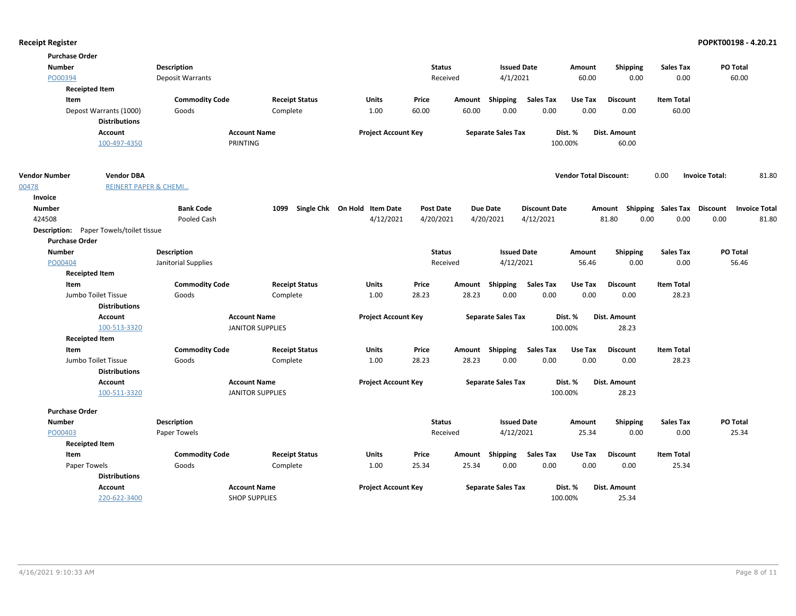| <b>Number</b><br>Description<br><b>Status</b><br><b>Issued Date</b><br><b>Shipping</b><br><b>Sales Tax</b><br>Amount<br>PO00394<br>4/1/2021<br>Deposit Warrants<br>Received<br>60.00<br>0.00<br>0.00<br><b>Receipted Item</b><br><b>Commodity Code</b><br><b>Sales Tax</b><br>Item<br><b>Receipt Status</b><br><b>Units</b><br>Price<br>Amount Shipping<br>Use Tax<br><b>Discount</b><br><b>Item Total</b><br>1.00<br>60.00<br>0.00<br>0.00<br>0.00<br>0.00<br>60.00<br>Depost Warrants (1000)<br>Goods<br>Complete<br>60.00<br><b>Distributions</b><br>Account<br><b>Account Name</b><br><b>Project Account Key</b><br><b>Separate Sales Tax</b><br>Dist. %<br>Dist. Amount<br>PRINTING<br>100-497-4350<br>100.00%<br>60.00<br><b>Vendor Number</b><br><b>Vendor DBA</b><br><b>Vendor Total Discount:</b><br>0.00<br><b>Invoice Total:</b><br><b>REINERT PAPER &amp; CHEMI</b><br>00478<br>Invoice<br>Single Chk On Hold Item Date<br>Shipping Sales Tax Discount<br><b>Number</b><br><b>Bank Code</b><br>1099<br><b>Post Date</b><br><b>Due Date</b><br><b>Discount Date</b><br>Amount<br>424508<br>4/12/2021<br>4/20/2021<br>4/12/2021<br>81.80<br>0.00<br>0.00<br>Pooled Cash<br>4/20/2021<br><b>Description:</b> Paper Towels/toilet tissue<br><b>Purchase Order</b><br><b>Number</b><br>Description<br><b>Issued Date</b><br><b>Sales Tax</b><br><b>Status</b><br><b>Shipping</b><br>Amount<br>Janitorial Supplies<br>4/12/2021<br>56.46<br>0.00<br>0.00<br>PO00404<br>Received<br><b>Receipted Item</b><br>Item<br><b>Commodity Code</b><br><b>Receipt Status</b><br><b>Units</b><br>Price<br><b>Shipping</b><br><b>Sales Tax</b><br>Use Tax<br><b>Discount</b><br><b>Item Total</b><br>Amount<br>0.00<br>Jumbo Toilet Tissue<br>1.00<br>28.23<br>28.23<br>0.00<br>0.00<br>0.00<br>28.23<br>Goods<br>Complete<br><b>Distributions</b><br>Account<br><b>Account Name</b><br><b>Project Account Key</b><br><b>Separate Sales Tax</b><br>Dist. %<br>Dist. Amount<br>100-513-3320<br><b>JANITOR SUPPLIES</b><br>100.00%<br>28.23<br><b>Receipted Item</b><br><b>Commodity Code</b><br><b>Receipt Status</b><br>Amount Shipping<br><b>Sales Tax</b><br>Use Tax<br><b>Item Total</b><br>Item<br><b>Units</b><br>Price<br><b>Discount</b><br>28.23<br>28.23<br>0.00<br>0.00<br>0.00<br>28.23<br>Jumbo Toilet Tissue<br>Goods<br>Complete<br>1.00<br>0.00<br><b>Distributions</b><br><b>Account Name</b><br><b>Project Account Key</b><br><b>Separate Sales Tax</b><br>Dist. %<br>Dist. Amount<br>Account<br>100-511-3320<br><b>JANITOR SUPPLIES</b><br>100.00%<br>28.23<br><b>Purchase Order</b><br><b>Number</b><br>Description<br><b>Status</b><br><b>Issued Date</b><br>Amount<br><b>Shipping</b><br>Sales Tax<br>4/12/2021<br>0.00<br>0.00<br>PO00403<br>Paper Towels<br>Received<br>25.34<br><b>Receipted Item</b><br><b>Commodity Code</b><br><b>Receipt Status</b><br>Price<br>Amount Shipping<br><b>Sales Tax</b><br>Use Tax<br><b>Discount</b><br><b>Item Total</b><br>Item<br><b>Units</b><br>0.00<br>0.00<br>25.34<br>Paper Towels<br>1.00<br>25.34<br>25.34<br>0.00<br>0.00<br>Goods<br>Complete |                      |
|--------------------------------------------------------------------------------------------------------------------------------------------------------------------------------------------------------------------------------------------------------------------------------------------------------------------------------------------------------------------------------------------------------------------------------------------------------------------------------------------------------------------------------------------------------------------------------------------------------------------------------------------------------------------------------------------------------------------------------------------------------------------------------------------------------------------------------------------------------------------------------------------------------------------------------------------------------------------------------------------------------------------------------------------------------------------------------------------------------------------------------------------------------------------------------------------------------------------------------------------------------------------------------------------------------------------------------------------------------------------------------------------------------------------------------------------------------------------------------------------------------------------------------------------------------------------------------------------------------------------------------------------------------------------------------------------------------------------------------------------------------------------------------------------------------------------------------------------------------------------------------------------------------------------------------------------------------------------------------------------------------------------------------------------------------------------------------------------------------------------------------------------------------------------------------------------------------------------------------------------------------------------------------------------------------------------------------------------------------------------------------------------------------------------------------------------------------------------------------------------------------------------------------------------------------------------------------------------------------------------------------------------------------------------------------------------------------------------------------------------------------------------------------------------------------------------------------------------------------------------------------------------------------------------------------------------------------------------------------------------------------------------------------------------------------------------------------------------------------------|----------------------|
|                                                                                                                                                                                                                                                                                                                                                                                                                                                                                                                                                                                                                                                                                                                                                                                                                                                                                                                                                                                                                                                                                                                                                                                                                                                                                                                                                                                                                                                                                                                                                                                                                                                                                                                                                                                                                                                                                                                                                                                                                                                                                                                                                                                                                                                                                                                                                                                                                                                                                                                                                                                                                                                                                                                                                                                                                                                                                                                                                                                                                                                                                                              | PO Total             |
|                                                                                                                                                                                                                                                                                                                                                                                                                                                                                                                                                                                                                                                                                                                                                                                                                                                                                                                                                                                                                                                                                                                                                                                                                                                                                                                                                                                                                                                                                                                                                                                                                                                                                                                                                                                                                                                                                                                                                                                                                                                                                                                                                                                                                                                                                                                                                                                                                                                                                                                                                                                                                                                                                                                                                                                                                                                                                                                                                                                                                                                                                                              | 60.00                |
|                                                                                                                                                                                                                                                                                                                                                                                                                                                                                                                                                                                                                                                                                                                                                                                                                                                                                                                                                                                                                                                                                                                                                                                                                                                                                                                                                                                                                                                                                                                                                                                                                                                                                                                                                                                                                                                                                                                                                                                                                                                                                                                                                                                                                                                                                                                                                                                                                                                                                                                                                                                                                                                                                                                                                                                                                                                                                                                                                                                                                                                                                                              |                      |
|                                                                                                                                                                                                                                                                                                                                                                                                                                                                                                                                                                                                                                                                                                                                                                                                                                                                                                                                                                                                                                                                                                                                                                                                                                                                                                                                                                                                                                                                                                                                                                                                                                                                                                                                                                                                                                                                                                                                                                                                                                                                                                                                                                                                                                                                                                                                                                                                                                                                                                                                                                                                                                                                                                                                                                                                                                                                                                                                                                                                                                                                                                              |                      |
|                                                                                                                                                                                                                                                                                                                                                                                                                                                                                                                                                                                                                                                                                                                                                                                                                                                                                                                                                                                                                                                                                                                                                                                                                                                                                                                                                                                                                                                                                                                                                                                                                                                                                                                                                                                                                                                                                                                                                                                                                                                                                                                                                                                                                                                                                                                                                                                                                                                                                                                                                                                                                                                                                                                                                                                                                                                                                                                                                                                                                                                                                                              |                      |
|                                                                                                                                                                                                                                                                                                                                                                                                                                                                                                                                                                                                                                                                                                                                                                                                                                                                                                                                                                                                                                                                                                                                                                                                                                                                                                                                                                                                                                                                                                                                                                                                                                                                                                                                                                                                                                                                                                                                                                                                                                                                                                                                                                                                                                                                                                                                                                                                                                                                                                                                                                                                                                                                                                                                                                                                                                                                                                                                                                                                                                                                                                              |                      |
|                                                                                                                                                                                                                                                                                                                                                                                                                                                                                                                                                                                                                                                                                                                                                                                                                                                                                                                                                                                                                                                                                                                                                                                                                                                                                                                                                                                                                                                                                                                                                                                                                                                                                                                                                                                                                                                                                                                                                                                                                                                                                                                                                                                                                                                                                                                                                                                                                                                                                                                                                                                                                                                                                                                                                                                                                                                                                                                                                                                                                                                                                                              |                      |
|                                                                                                                                                                                                                                                                                                                                                                                                                                                                                                                                                                                                                                                                                                                                                                                                                                                                                                                                                                                                                                                                                                                                                                                                                                                                                                                                                                                                                                                                                                                                                                                                                                                                                                                                                                                                                                                                                                                                                                                                                                                                                                                                                                                                                                                                                                                                                                                                                                                                                                                                                                                                                                                                                                                                                                                                                                                                                                                                                                                                                                                                                                              |                      |
|                                                                                                                                                                                                                                                                                                                                                                                                                                                                                                                                                                                                                                                                                                                                                                                                                                                                                                                                                                                                                                                                                                                                                                                                                                                                                                                                                                                                                                                                                                                                                                                                                                                                                                                                                                                                                                                                                                                                                                                                                                                                                                                                                                                                                                                                                                                                                                                                                                                                                                                                                                                                                                                                                                                                                                                                                                                                                                                                                                                                                                                                                                              | 81.80                |
|                                                                                                                                                                                                                                                                                                                                                                                                                                                                                                                                                                                                                                                                                                                                                                                                                                                                                                                                                                                                                                                                                                                                                                                                                                                                                                                                                                                                                                                                                                                                                                                                                                                                                                                                                                                                                                                                                                                                                                                                                                                                                                                                                                                                                                                                                                                                                                                                                                                                                                                                                                                                                                                                                                                                                                                                                                                                                                                                                                                                                                                                                                              |                      |
|                                                                                                                                                                                                                                                                                                                                                                                                                                                                                                                                                                                                                                                                                                                                                                                                                                                                                                                                                                                                                                                                                                                                                                                                                                                                                                                                                                                                                                                                                                                                                                                                                                                                                                                                                                                                                                                                                                                                                                                                                                                                                                                                                                                                                                                                                                                                                                                                                                                                                                                                                                                                                                                                                                                                                                                                                                                                                                                                                                                                                                                                                                              |                      |
|                                                                                                                                                                                                                                                                                                                                                                                                                                                                                                                                                                                                                                                                                                                                                                                                                                                                                                                                                                                                                                                                                                                                                                                                                                                                                                                                                                                                                                                                                                                                                                                                                                                                                                                                                                                                                                                                                                                                                                                                                                                                                                                                                                                                                                                                                                                                                                                                                                                                                                                                                                                                                                                                                                                                                                                                                                                                                                                                                                                                                                                                                                              | <b>Invoice Total</b> |
|                                                                                                                                                                                                                                                                                                                                                                                                                                                                                                                                                                                                                                                                                                                                                                                                                                                                                                                                                                                                                                                                                                                                                                                                                                                                                                                                                                                                                                                                                                                                                                                                                                                                                                                                                                                                                                                                                                                                                                                                                                                                                                                                                                                                                                                                                                                                                                                                                                                                                                                                                                                                                                                                                                                                                                                                                                                                                                                                                                                                                                                                                                              | 0.00<br>81.80        |
|                                                                                                                                                                                                                                                                                                                                                                                                                                                                                                                                                                                                                                                                                                                                                                                                                                                                                                                                                                                                                                                                                                                                                                                                                                                                                                                                                                                                                                                                                                                                                                                                                                                                                                                                                                                                                                                                                                                                                                                                                                                                                                                                                                                                                                                                                                                                                                                                                                                                                                                                                                                                                                                                                                                                                                                                                                                                                                                                                                                                                                                                                                              |                      |
|                                                                                                                                                                                                                                                                                                                                                                                                                                                                                                                                                                                                                                                                                                                                                                                                                                                                                                                                                                                                                                                                                                                                                                                                                                                                                                                                                                                                                                                                                                                                                                                                                                                                                                                                                                                                                                                                                                                                                                                                                                                                                                                                                                                                                                                                                                                                                                                                                                                                                                                                                                                                                                                                                                                                                                                                                                                                                                                                                                                                                                                                                                              |                      |
|                                                                                                                                                                                                                                                                                                                                                                                                                                                                                                                                                                                                                                                                                                                                                                                                                                                                                                                                                                                                                                                                                                                                                                                                                                                                                                                                                                                                                                                                                                                                                                                                                                                                                                                                                                                                                                                                                                                                                                                                                                                                                                                                                                                                                                                                                                                                                                                                                                                                                                                                                                                                                                                                                                                                                                                                                                                                                                                                                                                                                                                                                                              | PO Total             |
|                                                                                                                                                                                                                                                                                                                                                                                                                                                                                                                                                                                                                                                                                                                                                                                                                                                                                                                                                                                                                                                                                                                                                                                                                                                                                                                                                                                                                                                                                                                                                                                                                                                                                                                                                                                                                                                                                                                                                                                                                                                                                                                                                                                                                                                                                                                                                                                                                                                                                                                                                                                                                                                                                                                                                                                                                                                                                                                                                                                                                                                                                                              | 56.46                |
|                                                                                                                                                                                                                                                                                                                                                                                                                                                                                                                                                                                                                                                                                                                                                                                                                                                                                                                                                                                                                                                                                                                                                                                                                                                                                                                                                                                                                                                                                                                                                                                                                                                                                                                                                                                                                                                                                                                                                                                                                                                                                                                                                                                                                                                                                                                                                                                                                                                                                                                                                                                                                                                                                                                                                                                                                                                                                                                                                                                                                                                                                                              |                      |
|                                                                                                                                                                                                                                                                                                                                                                                                                                                                                                                                                                                                                                                                                                                                                                                                                                                                                                                                                                                                                                                                                                                                                                                                                                                                                                                                                                                                                                                                                                                                                                                                                                                                                                                                                                                                                                                                                                                                                                                                                                                                                                                                                                                                                                                                                                                                                                                                                                                                                                                                                                                                                                                                                                                                                                                                                                                                                                                                                                                                                                                                                                              |                      |
|                                                                                                                                                                                                                                                                                                                                                                                                                                                                                                                                                                                                                                                                                                                                                                                                                                                                                                                                                                                                                                                                                                                                                                                                                                                                                                                                                                                                                                                                                                                                                                                                                                                                                                                                                                                                                                                                                                                                                                                                                                                                                                                                                                                                                                                                                                                                                                                                                                                                                                                                                                                                                                                                                                                                                                                                                                                                                                                                                                                                                                                                                                              |                      |
|                                                                                                                                                                                                                                                                                                                                                                                                                                                                                                                                                                                                                                                                                                                                                                                                                                                                                                                                                                                                                                                                                                                                                                                                                                                                                                                                                                                                                                                                                                                                                                                                                                                                                                                                                                                                                                                                                                                                                                                                                                                                                                                                                                                                                                                                                                                                                                                                                                                                                                                                                                                                                                                                                                                                                                                                                                                                                                                                                                                                                                                                                                              |                      |
|                                                                                                                                                                                                                                                                                                                                                                                                                                                                                                                                                                                                                                                                                                                                                                                                                                                                                                                                                                                                                                                                                                                                                                                                                                                                                                                                                                                                                                                                                                                                                                                                                                                                                                                                                                                                                                                                                                                                                                                                                                                                                                                                                                                                                                                                                                                                                                                                                                                                                                                                                                                                                                                                                                                                                                                                                                                                                                                                                                                                                                                                                                              |                      |
|                                                                                                                                                                                                                                                                                                                                                                                                                                                                                                                                                                                                                                                                                                                                                                                                                                                                                                                                                                                                                                                                                                                                                                                                                                                                                                                                                                                                                                                                                                                                                                                                                                                                                                                                                                                                                                                                                                                                                                                                                                                                                                                                                                                                                                                                                                                                                                                                                                                                                                                                                                                                                                                                                                                                                                                                                                                                                                                                                                                                                                                                                                              |                      |
|                                                                                                                                                                                                                                                                                                                                                                                                                                                                                                                                                                                                                                                                                                                                                                                                                                                                                                                                                                                                                                                                                                                                                                                                                                                                                                                                                                                                                                                                                                                                                                                                                                                                                                                                                                                                                                                                                                                                                                                                                                                                                                                                                                                                                                                                                                                                                                                                                                                                                                                                                                                                                                                                                                                                                                                                                                                                                                                                                                                                                                                                                                              |                      |
|                                                                                                                                                                                                                                                                                                                                                                                                                                                                                                                                                                                                                                                                                                                                                                                                                                                                                                                                                                                                                                                                                                                                                                                                                                                                                                                                                                                                                                                                                                                                                                                                                                                                                                                                                                                                                                                                                                                                                                                                                                                                                                                                                                                                                                                                                                                                                                                                                                                                                                                                                                                                                                                                                                                                                                                                                                                                                                                                                                                                                                                                                                              |                      |
|                                                                                                                                                                                                                                                                                                                                                                                                                                                                                                                                                                                                                                                                                                                                                                                                                                                                                                                                                                                                                                                                                                                                                                                                                                                                                                                                                                                                                                                                                                                                                                                                                                                                                                                                                                                                                                                                                                                                                                                                                                                                                                                                                                                                                                                                                                                                                                                                                                                                                                                                                                                                                                                                                                                                                                                                                                                                                                                                                                                                                                                                                                              |                      |
|                                                                                                                                                                                                                                                                                                                                                                                                                                                                                                                                                                                                                                                                                                                                                                                                                                                                                                                                                                                                                                                                                                                                                                                                                                                                                                                                                                                                                                                                                                                                                                                                                                                                                                                                                                                                                                                                                                                                                                                                                                                                                                                                                                                                                                                                                                                                                                                                                                                                                                                                                                                                                                                                                                                                                                                                                                                                                                                                                                                                                                                                                                              |                      |
|                                                                                                                                                                                                                                                                                                                                                                                                                                                                                                                                                                                                                                                                                                                                                                                                                                                                                                                                                                                                                                                                                                                                                                                                                                                                                                                                                                                                                                                                                                                                                                                                                                                                                                                                                                                                                                                                                                                                                                                                                                                                                                                                                                                                                                                                                                                                                                                                                                                                                                                                                                                                                                                                                                                                                                                                                                                                                                                                                                                                                                                                                                              |                      |
|                                                                                                                                                                                                                                                                                                                                                                                                                                                                                                                                                                                                                                                                                                                                                                                                                                                                                                                                                                                                                                                                                                                                                                                                                                                                                                                                                                                                                                                                                                                                                                                                                                                                                                                                                                                                                                                                                                                                                                                                                                                                                                                                                                                                                                                                                                                                                                                                                                                                                                                                                                                                                                                                                                                                                                                                                                                                                                                                                                                                                                                                                                              |                      |
|                                                                                                                                                                                                                                                                                                                                                                                                                                                                                                                                                                                                                                                                                                                                                                                                                                                                                                                                                                                                                                                                                                                                                                                                                                                                                                                                                                                                                                                                                                                                                                                                                                                                                                                                                                                                                                                                                                                                                                                                                                                                                                                                                                                                                                                                                                                                                                                                                                                                                                                                                                                                                                                                                                                                                                                                                                                                                                                                                                                                                                                                                                              |                      |
|                                                                                                                                                                                                                                                                                                                                                                                                                                                                                                                                                                                                                                                                                                                                                                                                                                                                                                                                                                                                                                                                                                                                                                                                                                                                                                                                                                                                                                                                                                                                                                                                                                                                                                                                                                                                                                                                                                                                                                                                                                                                                                                                                                                                                                                                                                                                                                                                                                                                                                                                                                                                                                                                                                                                                                                                                                                                                                                                                                                                                                                                                                              | PO Total<br>25.34    |
|                                                                                                                                                                                                                                                                                                                                                                                                                                                                                                                                                                                                                                                                                                                                                                                                                                                                                                                                                                                                                                                                                                                                                                                                                                                                                                                                                                                                                                                                                                                                                                                                                                                                                                                                                                                                                                                                                                                                                                                                                                                                                                                                                                                                                                                                                                                                                                                                                                                                                                                                                                                                                                                                                                                                                                                                                                                                                                                                                                                                                                                                                                              |                      |
|                                                                                                                                                                                                                                                                                                                                                                                                                                                                                                                                                                                                                                                                                                                                                                                                                                                                                                                                                                                                                                                                                                                                                                                                                                                                                                                                                                                                                                                                                                                                                                                                                                                                                                                                                                                                                                                                                                                                                                                                                                                                                                                                                                                                                                                                                                                                                                                                                                                                                                                                                                                                                                                                                                                                                                                                                                                                                                                                                                                                                                                                                                              |                      |
|                                                                                                                                                                                                                                                                                                                                                                                                                                                                                                                                                                                                                                                                                                                                                                                                                                                                                                                                                                                                                                                                                                                                                                                                                                                                                                                                                                                                                                                                                                                                                                                                                                                                                                                                                                                                                                                                                                                                                                                                                                                                                                                                                                                                                                                                                                                                                                                                                                                                                                                                                                                                                                                                                                                                                                                                                                                                                                                                                                                                                                                                                                              |                      |
| <b>Distributions</b>                                                                                                                                                                                                                                                                                                                                                                                                                                                                                                                                                                                                                                                                                                                                                                                                                                                                                                                                                                                                                                                                                                                                                                                                                                                                                                                                                                                                                                                                                                                                                                                                                                                                                                                                                                                                                                                                                                                                                                                                                                                                                                                                                                                                                                                                                                                                                                                                                                                                                                                                                                                                                                                                                                                                                                                                                                                                                                                                                                                                                                                                                         |                      |
| Dist. Amount<br><b>Account Name</b><br><b>Project Account Key</b><br><b>Separate Sales Tax</b><br>Dist. %<br><b>Account</b>                                                                                                                                                                                                                                                                                                                                                                                                                                                                                                                                                                                                                                                                                                                                                                                                                                                                                                                                                                                                                                                                                                                                                                                                                                                                                                                                                                                                                                                                                                                                                                                                                                                                                                                                                                                                                                                                                                                                                                                                                                                                                                                                                                                                                                                                                                                                                                                                                                                                                                                                                                                                                                                                                                                                                                                                                                                                                                                                                                                  |                      |
| <b>SHOP SUPPLIES</b><br>100.00%<br>220-622-3400<br>25.34                                                                                                                                                                                                                                                                                                                                                                                                                                                                                                                                                                                                                                                                                                                                                                                                                                                                                                                                                                                                                                                                                                                                                                                                                                                                                                                                                                                                                                                                                                                                                                                                                                                                                                                                                                                                                                                                                                                                                                                                                                                                                                                                                                                                                                                                                                                                                                                                                                                                                                                                                                                                                                                                                                                                                                                                                                                                                                                                                                                                                                                     |                      |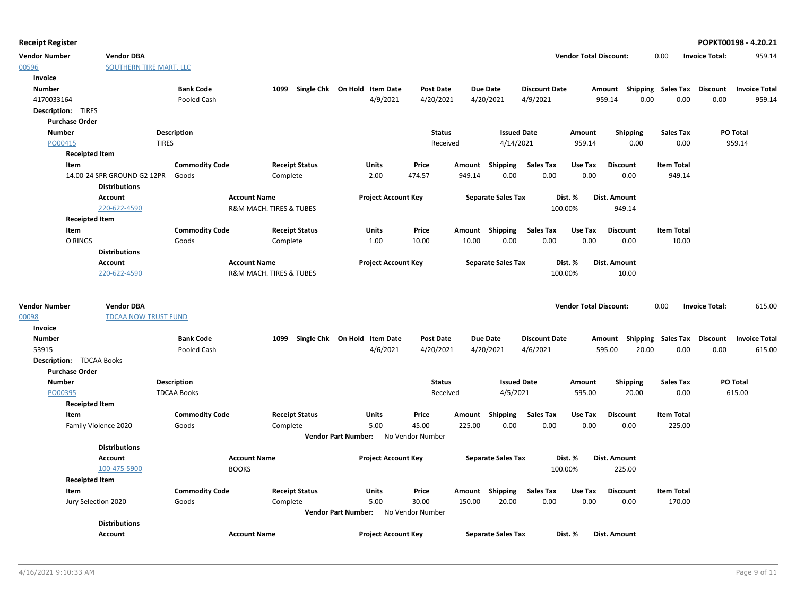**Vendor Number Vendor Total Discount:** 959.14 **Vendor DBA** 0.00 **Invoice Total:**

| 00596                                    | <b>SOUTHERN TIRE MART, LLC</b>                   |                       |                                        |                                   |                              |                            |                                      |        |                           |                      |                               |                           |                           |                   |                       |                      |
|------------------------------------------|--------------------------------------------------|-----------------------|----------------------------------------|-----------------------------------|------------------------------|----------------------------|--------------------------------------|--------|---------------------------|----------------------|-------------------------------|---------------------------|---------------------------|-------------------|-----------------------|----------------------|
| Invoice                                  |                                                  |                       |                                        |                                   |                              |                            |                                      |        |                           |                      |                               |                           |                           |                   |                       |                      |
| <b>Number</b>                            |                                                  | <b>Bank Code</b>      |                                        | 1099 Single Chk On Hold Item Date |                              |                            | <b>Post Date</b>                     |        | <b>Due Date</b>           | <b>Discount Date</b> |                               | Amount Shipping Sales Tax |                           |                   | Discount              | <b>Invoice Total</b> |
| 4170033164                               |                                                  | Pooled Cash           |                                        |                                   |                              | 4/9/2021                   | 4/20/2021                            |        | 4/20/2021                 | 4/9/2021             |                               | 959.14                    | 0.00                      | 0.00              | 0.00                  | 959.14               |
| <b>Description: TIRES</b>                |                                                  |                       |                                        |                                   |                              |                            |                                      |        |                           |                      |                               |                           |                           |                   |                       |                      |
| <b>Purchase Order</b>                    |                                                  |                       |                                        |                                   |                              |                            |                                      |        |                           |                      |                               |                           |                           |                   |                       |                      |
| <b>Number</b>                            |                                                  | Description           |                                        |                                   |                              |                            | <b>Status</b>                        |        | <b>Issued Date</b>        |                      | Amount                        | <b>Shipping</b>           |                           | <b>Sales Tax</b>  |                       | PO Total             |
| PO00415                                  |                                                  | <b>TIRES</b>          |                                        |                                   |                              |                            | Received                             |        | 4/14/2021                 |                      | 959.14                        | 0.00                      |                           | 0.00              |                       | 959.14               |
|                                          | <b>Receipted Item</b>                            |                       |                                        |                                   |                              |                            |                                      |        |                           |                      |                               |                           |                           |                   |                       |                      |
| Item                                     |                                                  | <b>Commodity Code</b> |                                        | <b>Receipt Status</b>             |                              | Units                      | Price                                | Amount | Shipping                  | <b>Sales Tax</b>     | Use Tax                       | <b>Discount</b>           |                           | <b>Item Total</b> |                       |                      |
|                                          | 14.00-24 SPR GROUND G2 12PR                      | Goods                 |                                        | Complete                          |                              | 2.00                       | 474.57                               | 949.14 | 0.00                      | 0.00                 | 0.00                          | 0.00                      |                           | 949.14            |                       |                      |
|                                          | <b>Distributions</b>                             |                       |                                        |                                   |                              |                            |                                      |        |                           |                      |                               |                           |                           |                   |                       |                      |
|                                          | Account                                          |                       | <b>Account Name</b>                    |                                   |                              | <b>Project Account Key</b> |                                      |        | <b>Separate Sales Tax</b> |                      | Dist. %                       | Dist. Amount              |                           |                   |                       |                      |
|                                          | 220-622-4590                                     |                       | R&M MACH. TIRES & TUBES                |                                   |                              |                            |                                      |        |                           |                      | 100.00%                       | 949.14                    |                           |                   |                       |                      |
|                                          | <b>Receipted Item</b>                            |                       |                                        |                                   |                              |                            |                                      |        |                           |                      |                               |                           |                           |                   |                       |                      |
| Item                                     |                                                  | <b>Commodity Code</b> |                                        | <b>Receipt Status</b>             |                              | <b>Units</b>               | Price                                |        | Amount Shipping           | <b>Sales Tax</b>     | Use Tax                       | <b>Discount</b>           |                           | <b>Item Total</b> |                       |                      |
| O RINGS                                  |                                                  | Goods                 |                                        | Complete                          |                              | 1.00                       | 10.00                                | 10.00  | 0.00                      | 0.00                 | 0.00                          | 0.00                      |                           | 10.00             |                       |                      |
|                                          | <b>Distributions</b>                             |                       |                                        |                                   |                              |                            |                                      |        |                           |                      |                               |                           |                           |                   |                       |                      |
|                                          | Account                                          |                       | <b>Account Name</b>                    |                                   |                              | <b>Project Account Key</b> |                                      |        | <b>Separate Sales Tax</b> |                      | Dist. %                       | Dist. Amount              |                           |                   |                       |                      |
|                                          | 220-622-4590                                     |                       | <b>R&amp;M MACH. TIRES &amp; TUBES</b> |                                   |                              |                            |                                      |        |                           |                      | 100.00%                       | 10.00                     |                           |                   |                       |                      |
| <b>Vendor Number</b><br>00098<br>Invoice | <b>Vendor DBA</b><br><b>TDCAA NOW TRUST FUND</b> |                       |                                        |                                   |                              |                            |                                      |        |                           |                      | <b>Vendor Total Discount:</b> |                           | 0.00                      |                   | <b>Invoice Total:</b> | 615.00               |
| <b>Number</b>                            |                                                  | <b>Bank Code</b>      |                                        | 1099                              | Single Chk On Hold Item Date |                            | <b>Post Date</b>                     |        | <b>Due Date</b>           | <b>Discount Date</b> |                               | Amount                    | <b>Shipping Sales Tax</b> |                   | Discount              | <b>Invoice Total</b> |
| 53915                                    |                                                  | Pooled Cash           |                                        |                                   |                              | 4/6/2021                   | 4/20/2021                            |        | 4/20/2021                 | 4/6/2021             |                               | 595.00                    | 20.00                     | 0.00              | 0.00                  | 615.00               |
| <b>Description: TDCAA Books</b>          |                                                  |                       |                                        |                                   |                              |                            |                                      |        |                           |                      |                               |                           |                           |                   |                       |                      |
| <b>Purchase Order</b>                    |                                                  |                       |                                        |                                   |                              |                            |                                      |        |                           |                      |                               |                           |                           |                   |                       |                      |
| <b>Number</b>                            |                                                  | <b>Description</b>    |                                        |                                   |                              |                            | <b>Status</b>                        |        | <b>Issued Date</b>        |                      | Amount                        | <b>Shipping</b>           |                           | <b>Sales Tax</b>  |                       | PO Total             |
| PO00395                                  |                                                  | <b>TDCAA Books</b>    |                                        |                                   |                              |                            | Received                             |        | 4/5/2021                  |                      | 595.00                        | 20.00                     |                           | 0.00              |                       | 615.00               |
|                                          | <b>Receipted Item</b>                            |                       |                                        |                                   |                              |                            |                                      |        |                           |                      |                               |                           |                           |                   |                       |                      |
| Item                                     |                                                  | <b>Commodity Code</b> |                                        | <b>Receipt Status</b>             |                              | <b>Units</b>               | Price                                |        | Amount Shipping           | <b>Sales Tax</b>     | Use Tax                       | <b>Discount</b>           |                           | <b>Item Total</b> |                       |                      |
|                                          | Family Violence 2020                             | Goods                 |                                        | Complete                          |                              | 5.00                       | 45.00                                | 225.00 | 0.00                      | 0.00                 | 0.00                          | 0.00                      |                           | 225.00            |                       |                      |
|                                          |                                                  |                       |                                        |                                   |                              |                            | Vendor Part Number: No Vendor Number |        |                           |                      |                               |                           |                           |                   |                       |                      |
|                                          | <b>Distributions</b>                             |                       |                                        |                                   |                              |                            |                                      |        |                           |                      |                               |                           |                           |                   |                       |                      |
|                                          | Account                                          |                       | <b>Account Name</b>                    |                                   |                              | <b>Project Account Key</b> |                                      |        | <b>Separate Sales Tax</b> |                      | Dist. %                       | Dist. Amount              |                           |                   |                       |                      |
|                                          | 100-475-5900                                     |                       | <b>BOOKS</b>                           |                                   |                              |                            |                                      |        |                           |                      | 100.00%                       | 225.00                    |                           |                   |                       |                      |
|                                          | <b>Receipted Item</b>                            |                       |                                        |                                   |                              |                            |                                      |        |                           |                      |                               |                           |                           |                   |                       |                      |
| Item                                     |                                                  | <b>Commodity Code</b> |                                        | <b>Receipt Status</b>             |                              | <b>Units</b>               | Price                                |        | Amount Shipping           | <b>Sales Tax</b>     | Use Tax                       | <b>Discount</b>           |                           | <b>Item Total</b> |                       |                      |
|                                          | Jury Selection 2020                              | Goods                 |                                        | Complete                          |                              | 5.00                       | 30.00                                | 150.00 | 20.00                     | 0.00                 | 0.00                          | 0.00                      |                           | 170.00            |                       |                      |
|                                          |                                                  |                       |                                        |                                   |                              |                            | Vendor Part Number: No Vendor Number |        |                           |                      |                               |                           |                           |                   |                       |                      |
|                                          | <b>Distributions</b>                             |                       |                                        |                                   |                              |                            |                                      |        |                           |                      |                               |                           |                           |                   |                       |                      |
|                                          | Account                                          |                       | <b>Account Name</b>                    |                                   |                              | <b>Project Account Key</b> |                                      |        | <b>Separate Sales Tax</b> |                      | Dist. %                       | Dist. Amount              |                           |                   |                       |                      |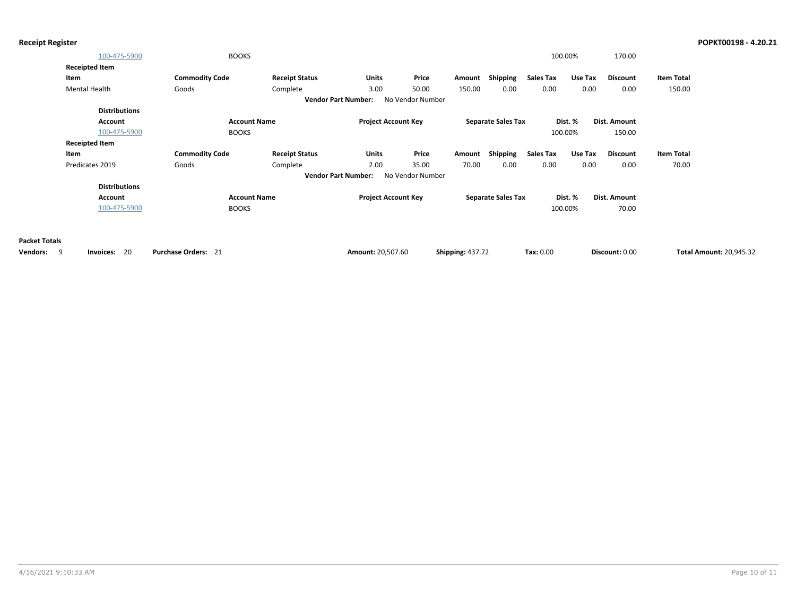| <b>Receipt Register</b> |  |  |
|-------------------------|--|--|
|                         |  |  |

|                      | 100-475-5900          | <b>BOOKS</b>          |                       |                            |                  |                         |                           |                  | 100.00% | 170.00         |                   |                                |
|----------------------|-----------------------|-----------------------|-----------------------|----------------------------|------------------|-------------------------|---------------------------|------------------|---------|----------------|-------------------|--------------------------------|
|                      | <b>Receipted Item</b> |                       |                       |                            |                  |                         |                           |                  |         |                |                   |                                |
|                      | Item                  | <b>Commodity Code</b> | <b>Receipt Status</b> | Units                      | Price            | Amount                  | Shipping                  | <b>Sales Tax</b> | Use Tax | Discount       | <b>Item Total</b> |                                |
|                      | Mental Health         | Goods                 | Complete              | 3.00                       | 50.00            | 150.00                  | 0.00                      | 0.00             | 0.00    | 0.00           | 150.00            |                                |
|                      |                       |                       |                       | <b>Vendor Part Number:</b> | No Vendor Number |                         |                           |                  |         |                |                   |                                |
|                      | <b>Distributions</b>  |                       |                       |                            |                  |                         |                           |                  |         |                |                   |                                |
|                      | <b>Account</b>        | <b>Account Name</b>   |                       | <b>Project Account Key</b> |                  |                         | <b>Separate Sales Tax</b> |                  | Dist. % | Dist. Amount   |                   |                                |
|                      | 100-475-5900          | <b>BOOKS</b>          |                       |                            |                  |                         |                           |                  | 100.00% | 150.00         |                   |                                |
|                      | <b>Receipted Item</b> |                       |                       |                            |                  |                         |                           |                  |         |                |                   |                                |
|                      | Item                  | <b>Commodity Code</b> | <b>Receipt Status</b> | Units                      | Price            | Amount                  | Shipping                  | Sales Tax        | Use Tax | Discount       | <b>Item Total</b> |                                |
|                      | Predicates 2019       | Goods                 | Complete              | 2.00                       | 35.00            | 70.00                   | 0.00                      | 0.00             | 0.00    | 0.00           | 70.00             |                                |
|                      |                       |                       |                       | <b>Vendor Part Number:</b> | No Vendor Number |                         |                           |                  |         |                |                   |                                |
|                      | <b>Distributions</b>  |                       |                       |                            |                  |                         |                           |                  |         |                |                   |                                |
|                      | <b>Account</b>        | <b>Account Name</b>   |                       | <b>Project Account Key</b> |                  |                         | <b>Separate Sales Tax</b> |                  | Dist. % | Dist. Amount   |                   |                                |
|                      | 100-475-5900          | <b>BOOKS</b>          |                       |                            |                  |                         |                           |                  | 100.00% | 70.00          |                   |                                |
|                      |                       |                       |                       |                            |                  |                         |                           |                  |         |                |                   |                                |
|                      |                       |                       |                       |                            |                  |                         |                           |                  |         |                |                   |                                |
| <b>Packet Totals</b> |                       |                       |                       |                            |                  |                         |                           |                  |         |                |                   |                                |
| Vendors: 9           | - 20<br>Invoices:     | Purchase Orders: 21   |                       | Amount: 20,507.60          |                  | <b>Shipping: 437.72</b> |                           | Tax: 0.00        |         | Discount: 0.00 |                   | <b>Total Amount: 20,945.32</b> |